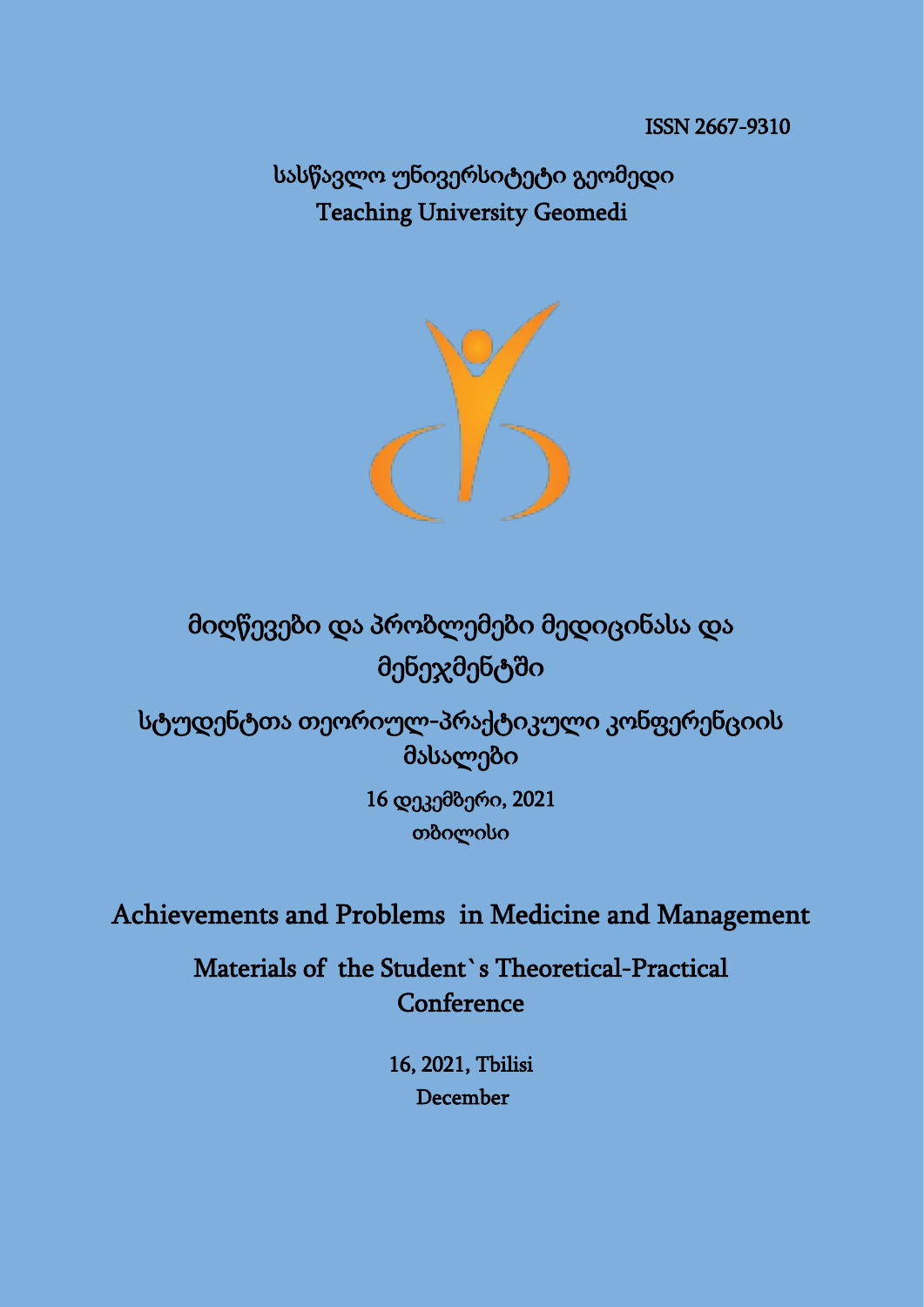სასწავლო უნივერსიტეტი გეომედი Teaching University Geomedi



მიღწევები და პრობლემები მედიცინასა და მენეჯმენტში

სტუდენტთა თეორიულ-პრაქტიკული კონფერენციის მასალები

> 16 დეკემბერი, 2021 თბილისი

Achievements and Problems in Medicine and Management

Materials of the Student`s Theoretical-Practical Conference

> 16, 2021, Tbilisi December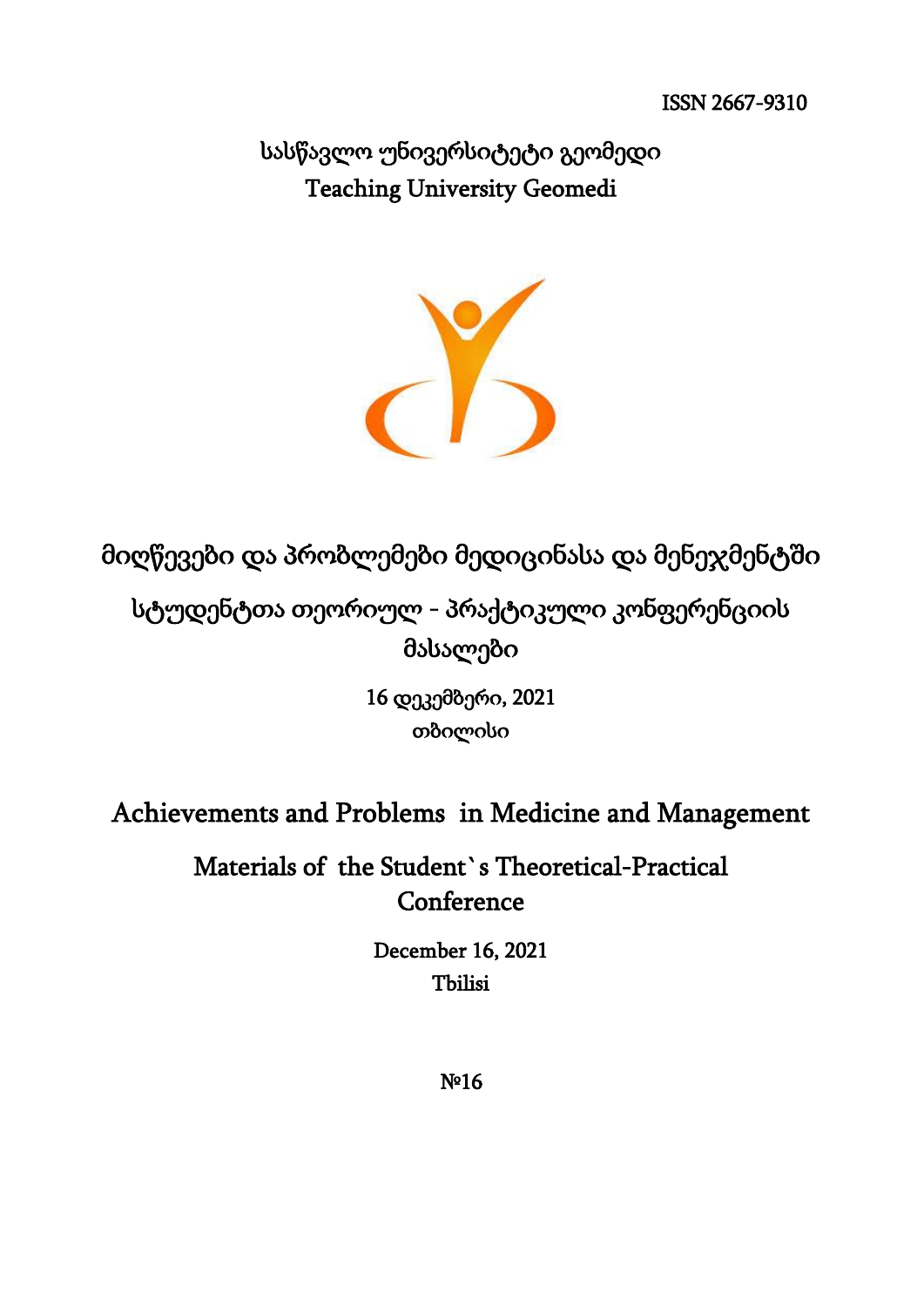სასწავლო უნივერსიტეტი გეომედი Teaching University Geomedi



მიღწევები და პრობლემები მედიცინასა და მენეჯმენტში

სტუდენტთა თეორიულ - პრაქტიკული კონფერენციის მასალები

> 16 დეკემბერი, 2021 თბილისი

Achievements and Problems in Medicine and Management

Materials of the Student`s Theoretical-Practical Conference

> December 16, 2021 Tbilisi

 $N<sup>o</sup>16$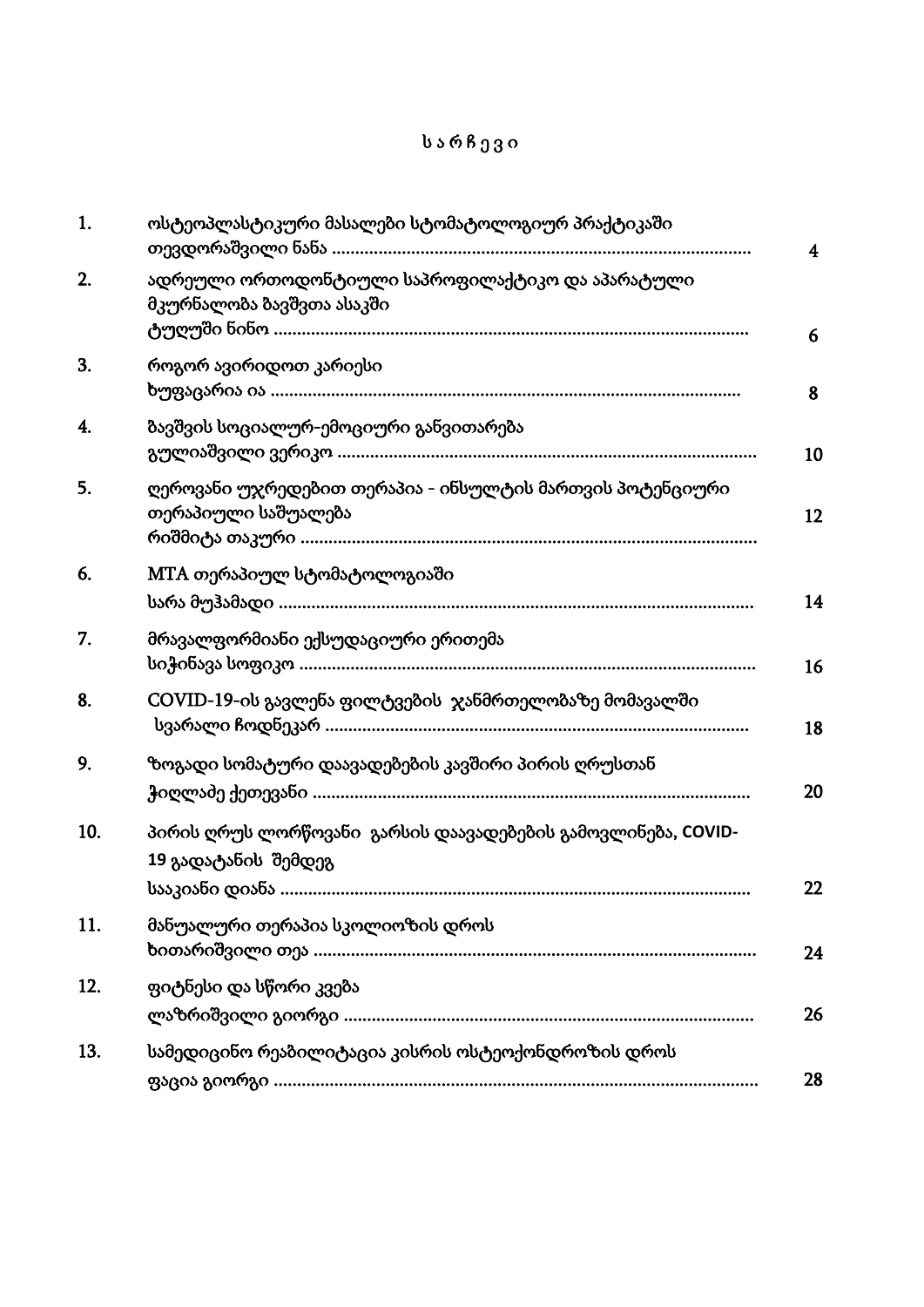# ს ა რ ჩ ე ვ ი

| 1.  | ოსტეოპლასტიკური მასალები სტომატოლოგიურ პრაქტიკაში                                   | $\overline{\mathbf{4}}$ |
|-----|-------------------------------------------------------------------------------------|-------------------------|
| 2.  | ადრეული ორთოდონტიული საპროფილაქტიკო და აპარატული<br>მკურნალობა ბავშვთა ასაკში       | 6                       |
| 3.  | როგორ ავირიდოთ კარიესი                                                              | 8                       |
| 4.  | ბავშვის სოციალურ-ემოციური განვითარება                                               | 10                      |
| 5.  | ღეროვანი უჯრედებით თერაპია - ინსულტის მართვის პოტენციური<br>თერაპიული საშუალება     | 12                      |
| 6.  | MTA თერაპიულ სტომატოლოგიაში                                                         | 14                      |
| 7.  | მრავალფორმიანი ექსუდაციური ერითემა                                                  | 16                      |
| 8.  | COVID-19-ის გავლენა ფილტვების ჯანმრთელობაზე მომავალში                               | 18                      |
| 9.  | ზოგადი სომატური დაავადებების კავშირი პირის ღრუსთან                                  | 20                      |
| 10. | პირის ღრუს ლორწოვანი გარსის დაავადებების გამოვლინება, COVID-<br>19 გადატანის შემდეგ | 22                      |
| 11. | მანუალური თერაპია სკოლიოზის დროს                                                    | 24                      |
| 12. | ფიტნესი და სწორი კვება                                                              | 26                      |
| 13. | სამედიცინო რეაბილიტაცია კისრის ოსტეოქონდროზის დროს                                  | 28                      |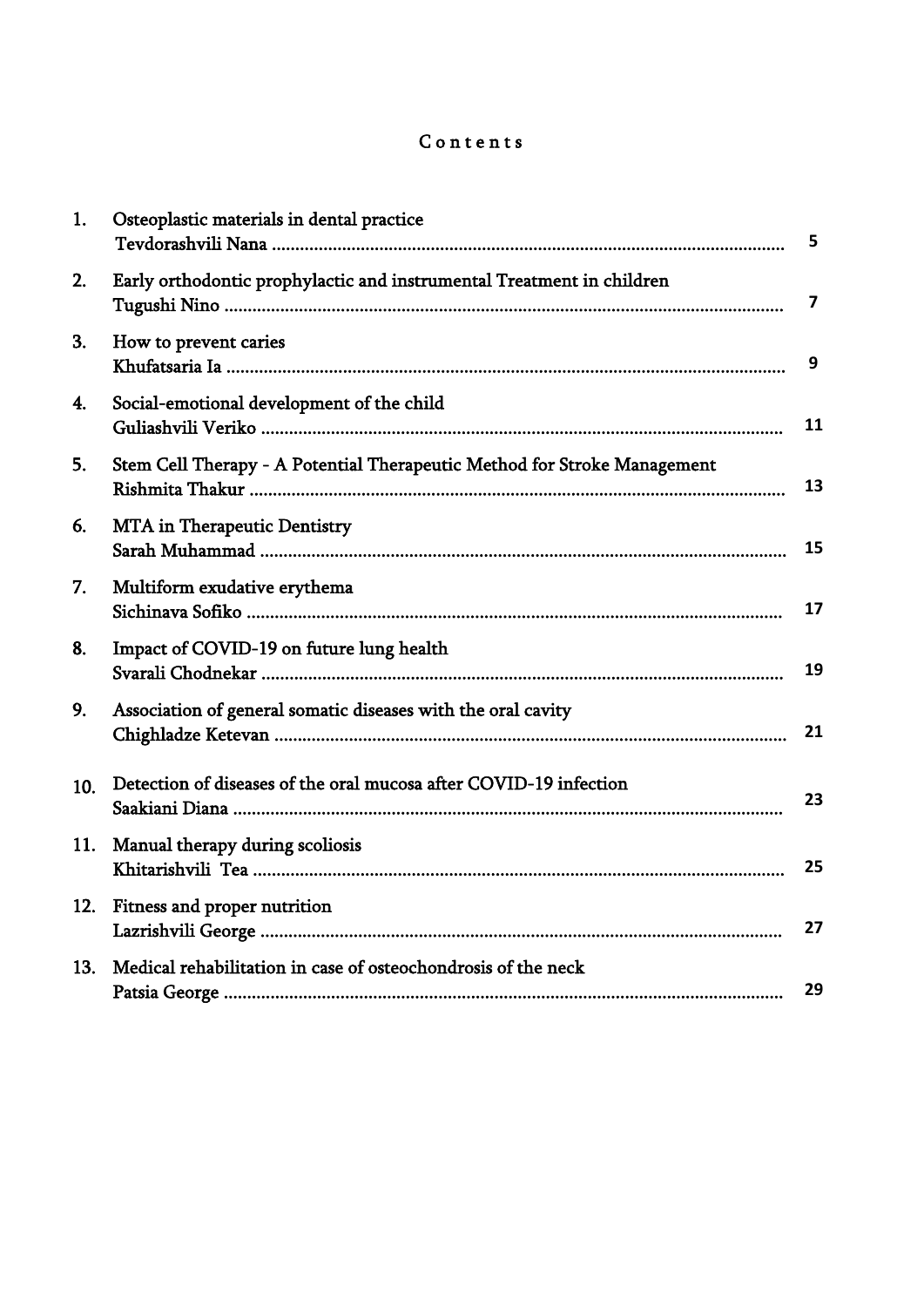# Contents

| 1.  | Osteoplastic materials in dental practice                                | 5  |
|-----|--------------------------------------------------------------------------|----|
| 2.  | Early orthodontic prophylactic and instrumental Treatment in children    | 7  |
| 3.  | How to prevent caries                                                    | 9  |
| 4.  | Social-emotional development of the child                                | 11 |
| 5.  | Stem Cell Therapy - A Potential Therapeutic Method for Stroke Management | 13 |
| 6.  | <b>MTA</b> in Therapeutic Dentistry                                      | 15 |
| 7.  | Multiform exudative erythema                                             | 17 |
| 8.  | Impact of COVID-19 on future lung health                                 | 19 |
| 9.  | Association of general somatic diseases with the oral cavity             | 21 |
| 10. | Detection of diseases of the oral mucosa after COVID-19 infection        | 23 |
| 11. | Manual therapy during scoliosis                                          | 25 |
| 12. | Fitness and proper nutrition                                             | 27 |
| 13. | Medical rehabilitation in case of osteochondrosis of the neck            | 29 |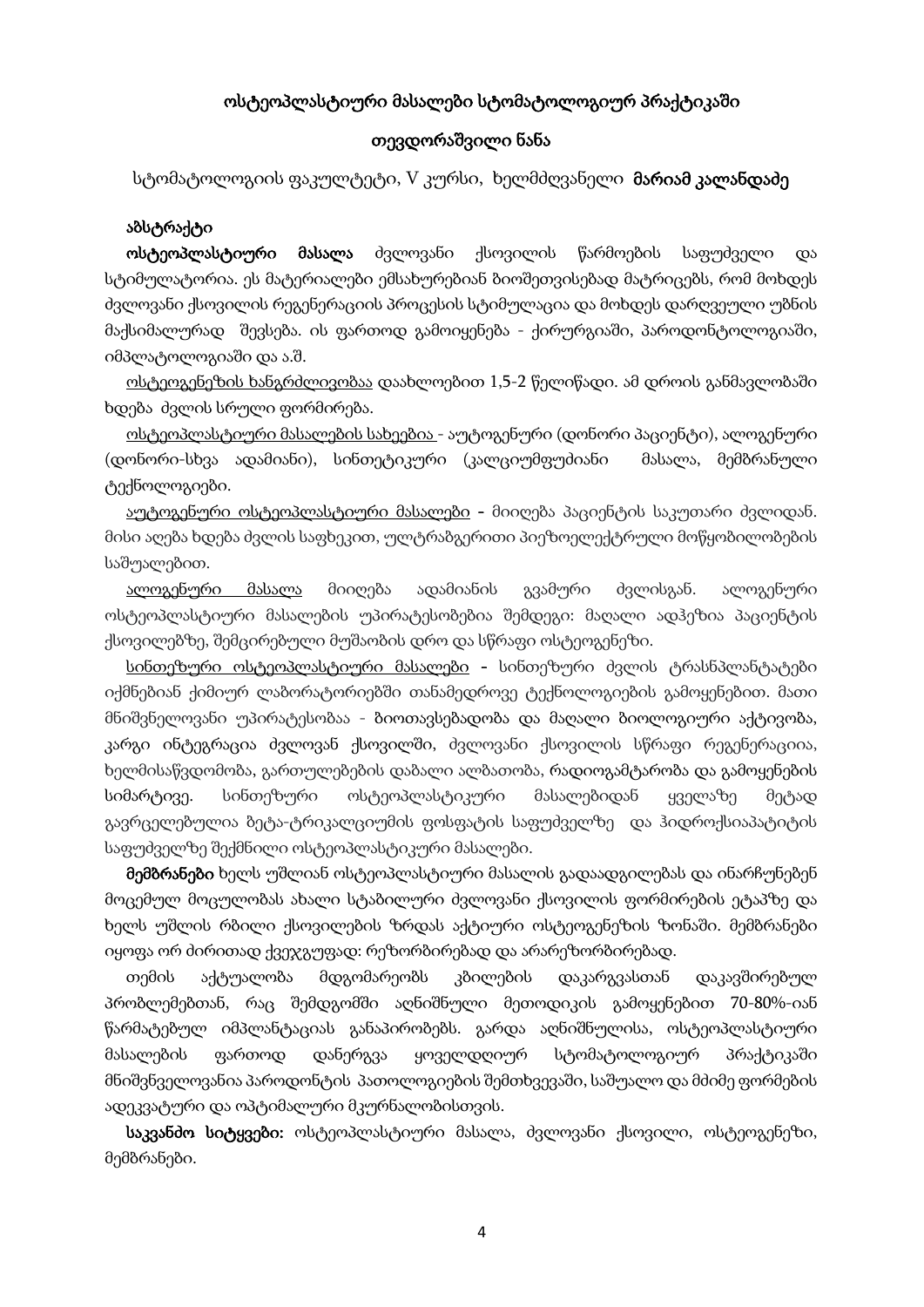#### ოსტეოპლასტიური მასალები სტომატოლოგიურ პრაქტიკაში

#### თევდორაშვილი ნანა

სტომატოლოგიის ფაკულტეტი, V კურსი, ხელმძღვანელი **მარიამ კალანდაძე** 

#### აბსტრაქტი

 ოსტეოპლასტიური მასალა ძვლოვანი ქსოვილის წარმოების საფუძველი და სტიმულატორია. ეს მატერიალები ემსახურებიან ბიოშეთვისებად მატრიცებს, რომ მოხდეს ძვლოვანი ქსოვილის რეგენერაციის პროცესის სტიმულაცია და მოხდეს დარღვეული უბნის მაქსიმალურად შევსება. ის ფართოდ გამოიყენება - ქირურგიაში, პაროდონტოლოგიაში, იმპლატოლოგიაში და ა.შ.

 ოსტეოგენეზის ხანგრძლივობაა დაახლოებით 1,5-2 წელიწადი. ამ დროის განმავლობაში ხდება ძვლის სრული ფორმირება.

 ოსტეოპლასტიური მასალების სახეებია - აუტოგენური (დონორი პაციენტი), ალოგენური (დონორი-სხვა ადამიანი), სინთეტიკური (კალციუმფუძიანი მასალა, მემბრანული ტექნოლოგიები.

აუტოგენური ოსტეოპლასტიური მასალები - მიიღება პაციენტის საკუთარი ძვლიდან. მისი აღება ხდება ძვლის საფხეკით, ულტრაბგერითი პიეზოელექტრული მოწყობილობების საშუალებით.

 ალოგენური მასალა მიიღება ადამიანის გვამური ძვლისგან. ალოგენური ოსტეოპლასტიური მასალების უპირატესობებია შემდეგი: მაღალი ადჰეზია პაციენტის ქსოვილებზე, შემცირებული მუშაობის დრო და სწრაფი ოსტეოგენეზი.

სინთეზური ოსტეოპლასტიური მასალები - სინთეზური ძვლის ტრასნპლანტატები იქმნებიან ქიმიურ ლაბორატორიებში თანამედროვე ტექნოლოგიების გამოყენებით. მათი მნიშვნელოვანი უპირატესობაა - ბიოთავსებადობა და მაღალი ბიოლოგიური აქტივობა, კარგი ინტეგრაცია ძვლოვან ქსოვილში, ძვლოვანი ქსოვილის სწრაფი რეგენერაციია, ხელმისაწვდომობა, გართულებების დაბალი ალბათობა, რადიოგამტარობა და გამოყენების სიმარტივე. სინთეზური ოსტეოპლასტიკური მასალებიდან ყველაზე მეტად გავრცელებულია ბეტა-ტრიკალციუმის ფოსფატის საფუძველზე და ჰიდროქსიაპატიტის საფუძველზე შექმნილი ოსტეოპლასტიკური მასალები.

 მემბრანები ხელს უშლიან ოსტეოპლასტიური მასალის გადაადგილებას და ინარჩუნებენ მოცემულ მოცულობას ახალი სტაბილური ძვლოვანი ქსოვილის ფორმირების ეტაპზე და ხელს უშლის რბილი ქსოვილების ზრდას აქტიური ოსტეოგენეზის ზონაში. მემბრანები იყოფა ორ ძირითად ქვეჯგუფად: რეზორბირებად და არარეზორბირებად.

 თემის აქტუალობა მდგომარეობს კბილების დაკარგვასთან დაკავშირებულ პრობლემებთან, რაც შემდგომში აღნიშნული მეთოდიკის გამოყენებით 70-80%-იან წარმატებულ იმპლანტაციას განაპირობებს. გარდა აღნიშნულისა, ოსტეოპლასტიური მასალების ფართოდ დანერგვა ყოველდღიურ სტომატოლოგიურ პრაქტიკაში მნიშვნველოვანია პაროდონტის პათოლოგიების შემთხვევაში, საშუალო და მძიმე ფორმების ადეკვატური და ოპტიმალური მკურნალობისთვის.

საკვანძო სიტყვები: ოსტეოპლასტიური მასალა, ძვლოვანი ქსოვილი, ოსტეოგენეზი, მემბრანები.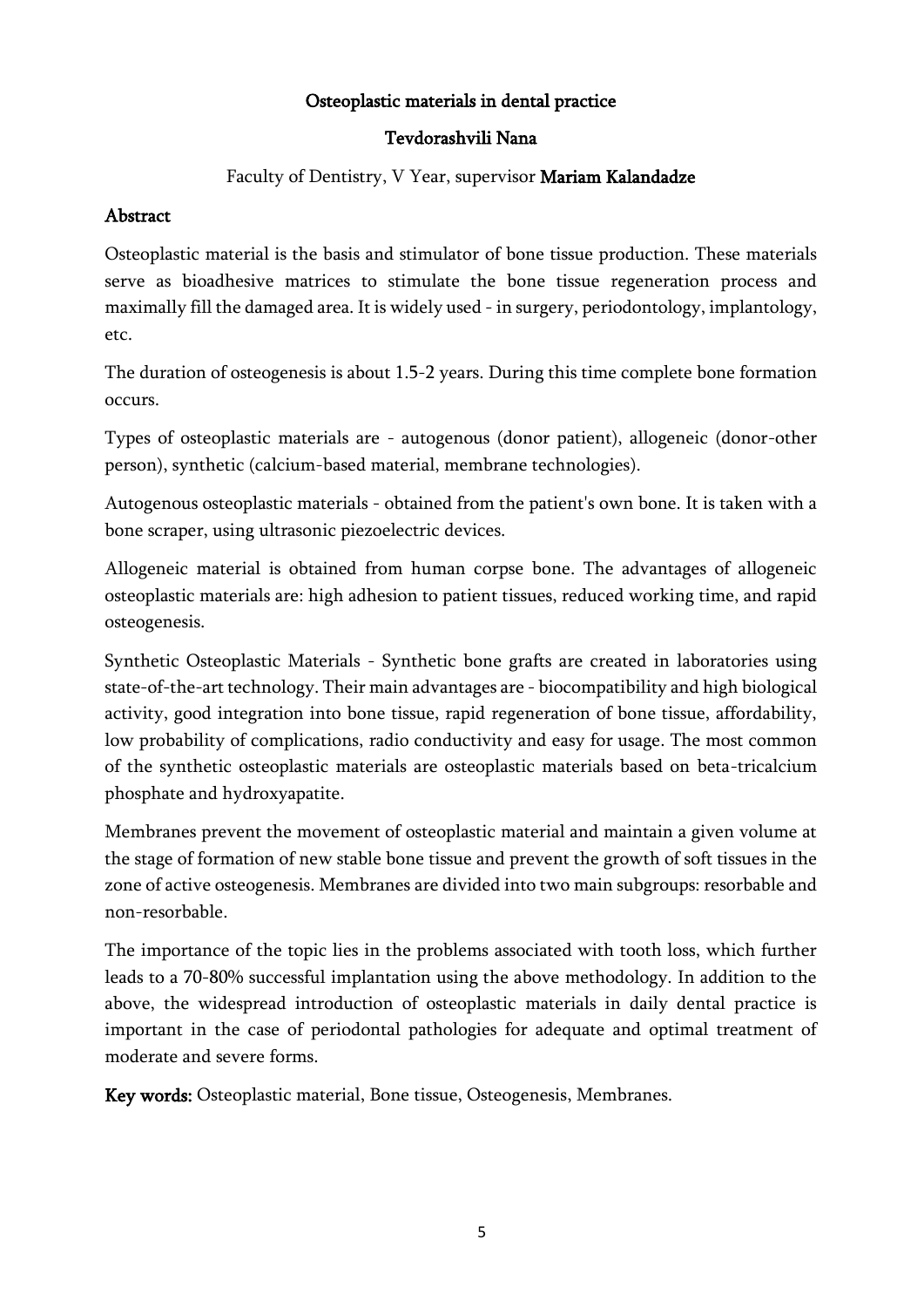### Osteoplastic materials in dental practice

### Tevdorashvili Nana

Faculty of Dentistry, V Year, supervisor Mariam Kalandadze

### Abstract

Osteoplastic material is the basis and stimulator of bone tissue production. These materials serve as bioadhesive matrices to stimulate the bone tissue regeneration process and maximally fill the damaged area. It is widely used - in surgery, periodontology, implantology, etc.

The duration of osteogenesis is about 1.5-2 years. During this time complete bone formation occurs.

Types of osteoplastic materials are - autogenous (donor patient), allogeneic (donor-other person), synthetic (calcium-based material, membrane technologies).

Autogenous osteoplastic materials - obtained from the patient's own bone. It is taken with a bone scraper, using ultrasonic piezoelectric devices.

Allogeneic material is obtained from human corpse bone. The advantages of allogeneic osteoplastic materials are: high adhesion to patient tissues, reduced working time, and rapid osteogenesis.

Synthetic Osteoplastic Materials - Synthetic bone grafts are created in laboratories using state-of-the-art technology. Their main advantages are - biocompatibility and high biological activity, good integration into bone tissue, rapid regeneration of bone tissue, affordability, low probability of complications, radio conductivity and easy for usage. The most common of the synthetic osteoplastic materials are osteoplastic materials based on beta-tricalcium phosphate and hydroxyapatite.

Membranes prevent the movement of osteoplastic material and maintain a given volume at the stage of formation of new stable bone tissue and prevent the growth of soft tissues in the zone of active osteogenesis. Membranes are divided into two main subgroups: resorbable and non-resorbable.

The importance of the topic lies in the problems associated with tooth loss, which further leads to a 70-80% successful implantation using the above methodology. In addition to the above, the widespread introduction of osteoplastic materials in daily dental practice is important in the case of periodontal pathologies for adequate and optimal treatment of moderate and severe forms.

Key words: Osteoplastic material, Bone tissue, Osteogenesis, Membranes.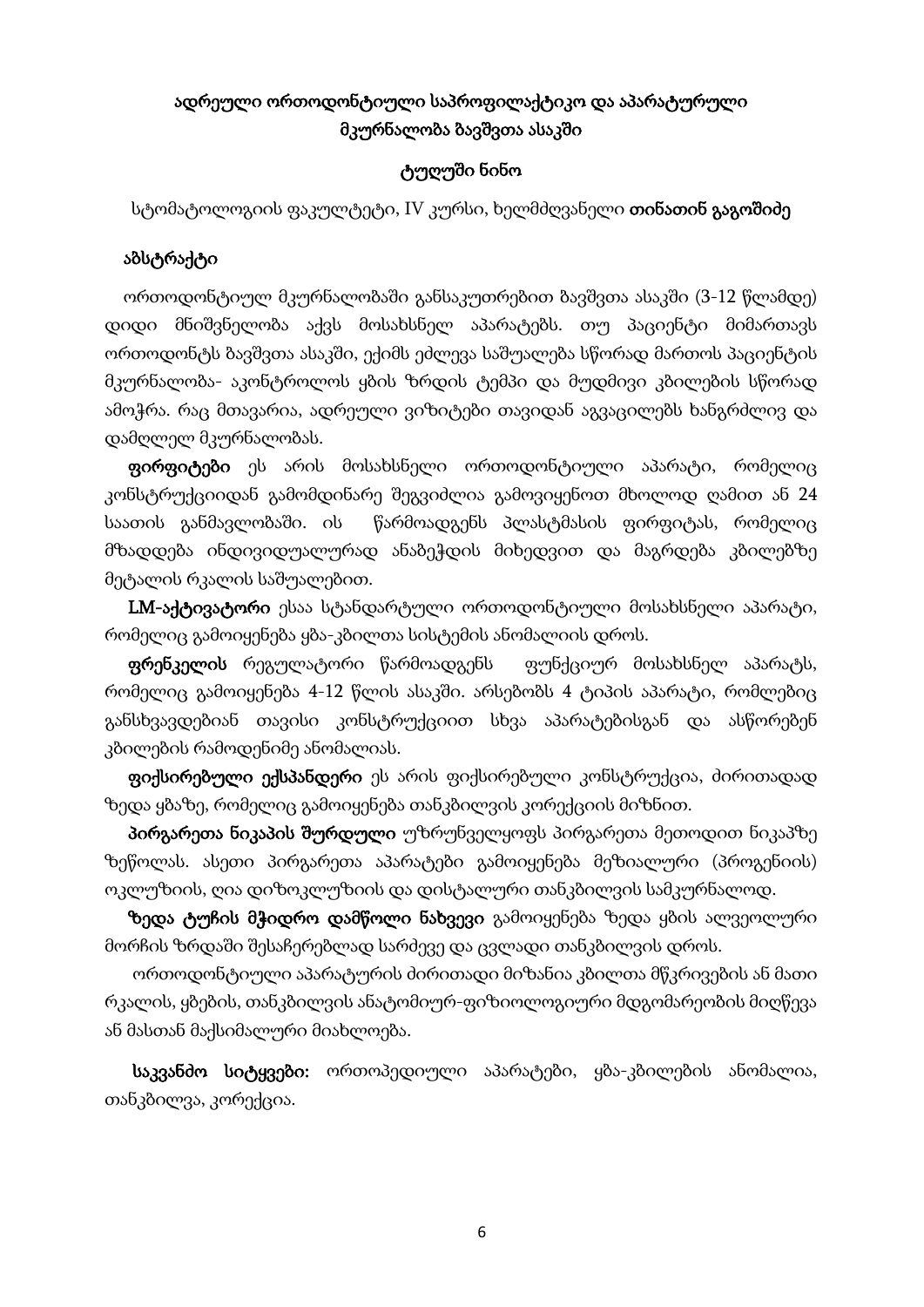# ადრეული ორთოდონტიული საპროფილაქტიკო და აპარატურული მკურნალობა ბავშვთა ასაკში

# ტუღუში ნინო

სტომატოლოგიის ფაკულტეტი, IV კურსი, ხელმძღვანელი **თინათინ გაგოშიძე** 

#### აბსტრაქტი

 ორთოდონტიულ მკურნალობაში განსაკუთრებით ბავშვთა ასაკში (3-12 წლამდე) დიდი მნიშვნელობა აქვს მოსახსნელ აპარატებს. თუ პაციენტი მიმართავს ორთოდონტს ბავშვთა ასაკში, ექიმს ეძლევა საშუალება სწორად მართოს პაციენტის მკურნალობა- აკონტროლოს ყბის ზრდის ტემპი და მუდმივი კბილების სწორად ამოჭრა. რაც მთავარია, ადრეული ვიზიტები თავიდან აგვაცილებს ხანგრძლივ და დამღლელ მკურნალობას.

 ფირფიტები ეს არის მოსახსნელი ორთოდონტიული აპარატი, რომელიც კონსტრუქციიდან გამომდინარე შეგვიძლია გამოვიყენოთ მხოლოდ ღამით ან 24 საათის განმავლობაში. ის წარმოადგენს პლასტმასის ფირფიტას, რომელიც მზადდება ინდივიდუალურად ანაბეჭდის მიხედვით და მაგრდება კბილებზე მეტალის რკალის საშუალებით.

LM-აქტივატორი ესაა სტანდარტული ორთოდონტიული მოსახსნელი აპარატი, რომელიც გამოიყენება ყბა-კბილთა სისტემის ანომალიის დროს.

 ფრენკელის რეგულატორი წარმოადგენს ფუნქციურ მოსახსნელ აპარატს, რომელიც გამოიყენება 4-12 წლის ასაკში. არსებობს 4 ტიპის აპარატი, რომლებიც განსხვავდებიან თავისი კონსტრუქციით სხვა აპარატებისგან და ასწორებენ კბილების რამოდენიმე ანომალიას.

 ფიქსირებული ექსპანდერი ეს არის ფიქსირებული კონსტრუქცია, ძირითადად ზედა ყბაზე, რომელიც გამოიყენება თანკბილვის კორექციის მიზნით.

 პირგარეთა ნიკაპის შურდული უზრუნველყოფს პირგარეთა მეთოდით ნიკაპზე ზეწოლას. ასეთი პირგარეთა აპარატები გამოიყენება მეზიალური (პროგენიის) ოკლუზიის, ღია დიზოკლუზიის და დისტალური თანკბილვის სამკურნალოდ.

 ზედა ტუჩის მჭიდრო დამწოლი ნახვევი გამოიყენება ზედა ყბის ალვეოლური მორჩის ზრდაში შესაჩერებლად სარძევე და ცვლადი თანკბილვის დროს.

 ორთოდონტიული აპარატურის ძირითადი მიზანია კბილთა მწკრივების ან მათი რკალის, ყბების, თანკბილვის ანატომიურ-ფიზიოლოგიური მდგომარეობის მიღწევა ან მასთან მაქსიმალური მიახლოება.

 საკვანძო სიტყვები: ორთოპედიული აპარატები, ყბა-კბილების ანომალია, თანკბილვა, კორექცია.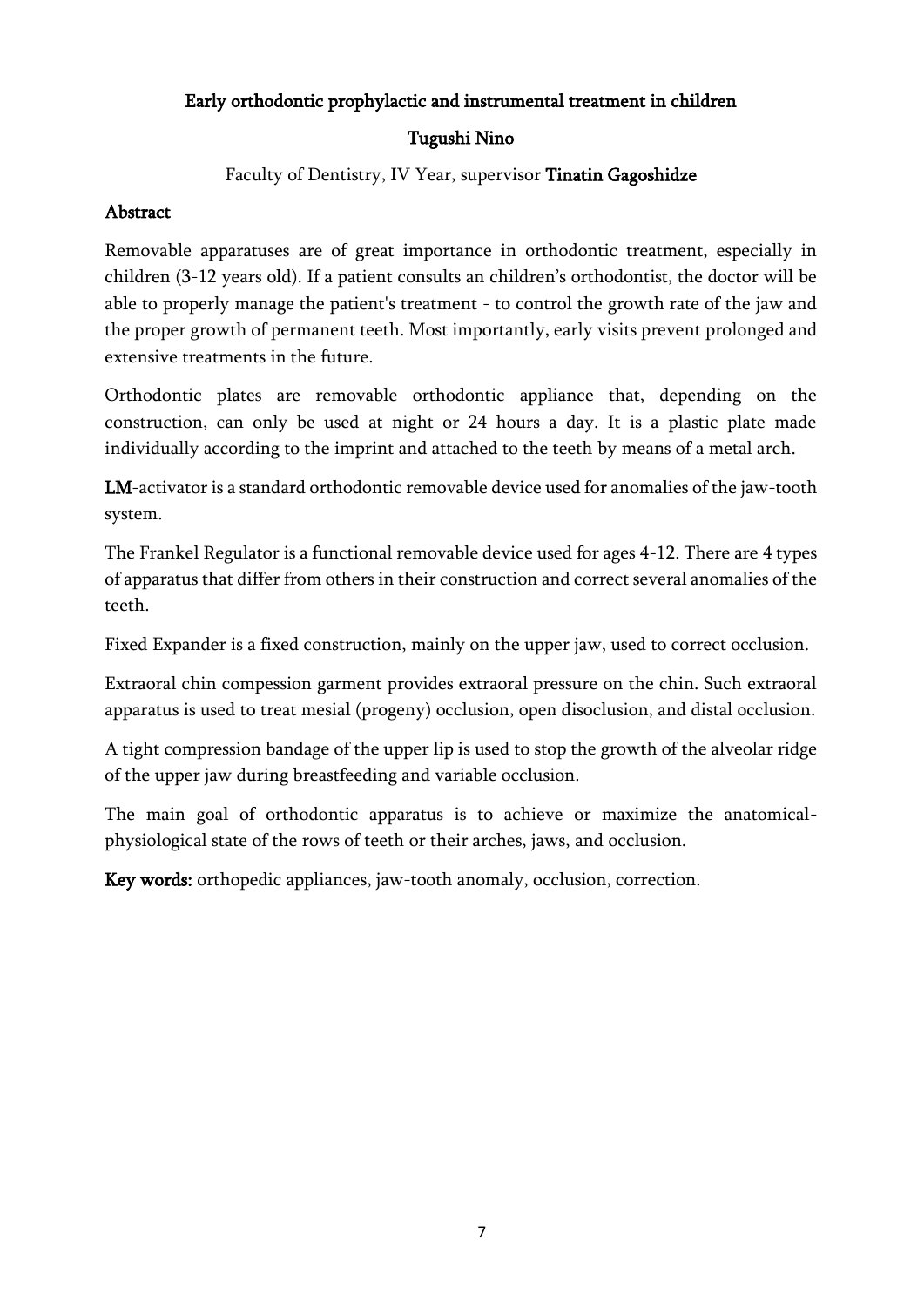### Early orthodontic prophylactic and instrumental treatment in children

# Tugushi Nino

# Faculty of Dentistry, IV Year, supervisor Tinatin Gagoshidze

# Abstract

Removable apparatuses are of great importance in orthodontic treatment, especially in children (3-12 years old). If a patient consults an children's orthodontist, the doctor will be able to properly manage the patient's treatment - to control the growth rate of the jaw and the proper growth of permanent teeth. Most importantly, early visits prevent prolonged and extensive treatments in the future.

Orthodontic plates are removable orthodontic appliance that, depending on the construction, can only be used at night or 24 hours a day. It is a plastic plate made individually according to the imprint and attached to the teeth by means of a metal arch.

LM-activator is a standard orthodontic removable device used for anomalies of the jaw-tooth system.

The Frankel Regulator is a functional removable device used for ages 4-12. There are 4 types of apparatus that differ from others in their construction and correct several anomalies of the teeth.

Fixed Expander is a fixed construction, mainly on the upper jaw, used to correct occlusion.

Extraoral chin compession garment provides extraoral pressure on the chin. Such extraoral apparatus is used to treat mesial (progeny) occlusion, open disoclusion, and distal occlusion.

A tight compression bandage of the upper lip is used to stop the growth of the alveolar ridge of the upper jaw during breastfeeding and variable occlusion.

The main goal of orthodontic apparatus is to achieve or maximize the anatomicalphysiological state of the rows of teeth or their arches, jaws, and occlusion.

Key words: orthopedic appliances, jaw-tooth anomaly, occlusion, correction.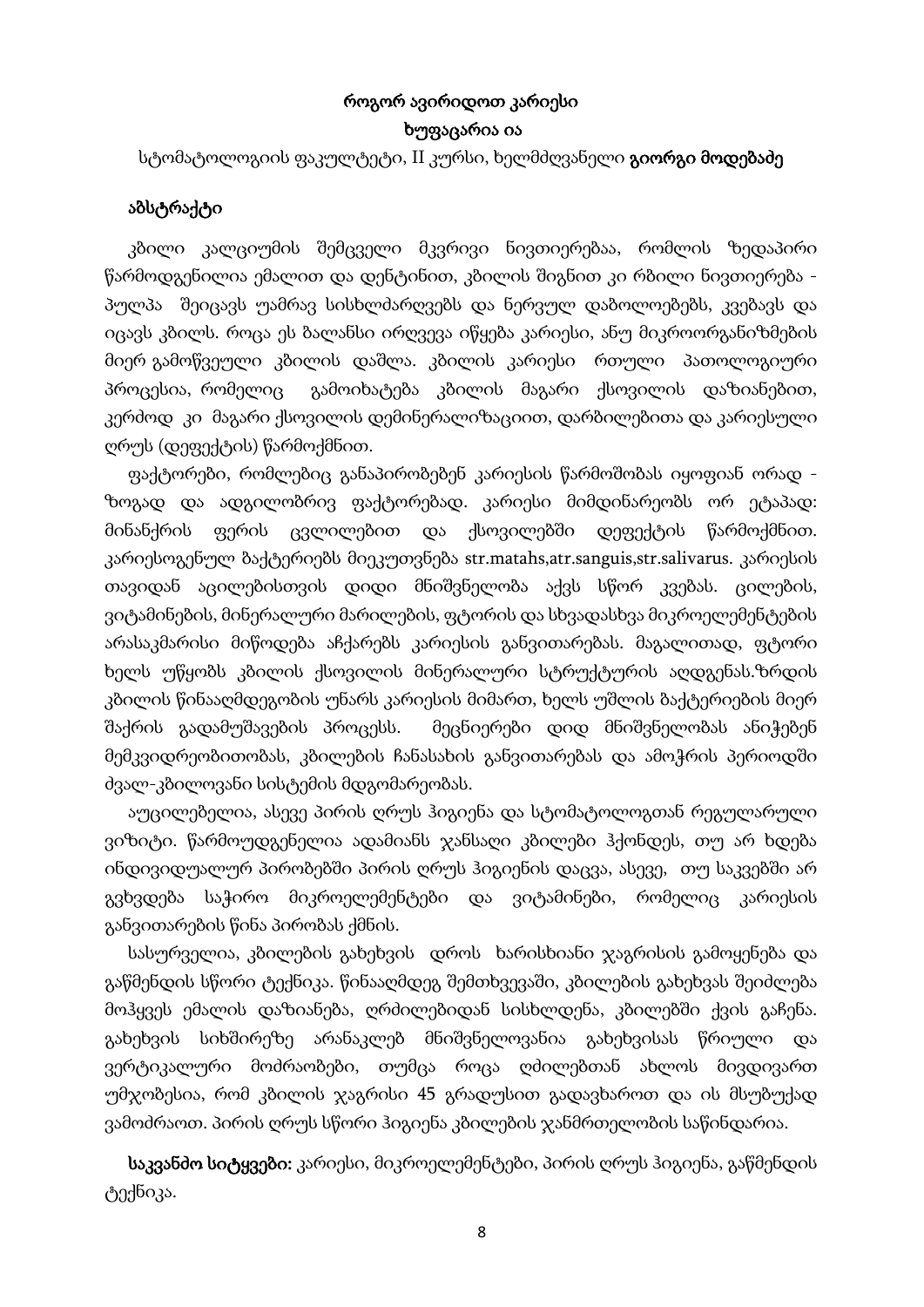# როგორ ავირიდოთ კარიესი ხუფაცარია ია

სტომატოლოგიის ფაკულტეტი, II კურსი, ხელმძღვანელი **გიორგი მოდებაძე** 

### აბსტრაქტი

 კბილი კალციუმის შემცველი მკვრივი ნივთიერებაა, რომლის ზედაპირი წარმოდგენილია ემალით და დენტინით, კბილის შიგნით კი რბილი ნივთიერება პულპა შეიცავს უამრავ სისხლძარღვებს და ნერვულ დაბოლოებებს, კვებავს და იცავს კბილს. როცა ეს ბალანსი ირღვევა იწყება კარიესი, ანუ მიკროორგანიზმების მიერ გამოწვეული კბილის დაშლა. კბილის კარიესი რთული პათოლოგიური პროცესია, რომელიც გამოიხატება კბილის მაგარი ქსოვილის დაზიანებით, კერძოდ კი მაგარი ქსოვილის დემინერალიზაციით, დარბილებითა და კარიესული ღრუს (დეფექტის) წარმოქმნით.

 ფაქტორები, რომლებიც განაპირობებენ კარიესის წარმოშობას იყოფიან ორად ზოგად და ადგილობრივ ფაქტორებად. კარიესი მიმდინარეობს ორ ეტაპად: მინანქრის ფერის ცვლილებით და ქსოვილებში დეფექტის წარმოქმნით. კარიესოგენულ ბაქტერიებს მიეკუთვნება str.matahs,atr.sanguis,str.salivarus. კარიესის თავიდან აცილებისთვის დიდი მნიშვნელობა აქვს სწორ კვებას. ცილების, ვიტამინების, მინერალური მარილების, ფტორის და სხვადასხვა მიკროელემენტების არასაკმარისი მიწოდება აჩქარებს კარიესის განვითარებას. მაგალითად, ფტორი ხელს უწყობს კბილის ქსოვილის მინერალური სტრუქტურის აღდგენას.ზრდის კბილის წინააღმდეგობის უნარს კარიესის მიმართ, ხელს უშლის ბაქტერიების მიერ შაქრის გადამუშავების პროცესს. მეცნიერები დიდ მნიშვნელობას ანიჭებენ მემკვიდრეობითობას, კბილების ჩანასახის განვითარებას და ამოჭრის პერიოდში ძვალ-კბილოვანი სისტემის მდგომარეობას.

 აუცილებელია, ასევე პირის ღრუს ჰიგიენა და სტომატოლოგთან რეგულარული ვიზიტი. წარმოუდგენელია ადამიანს ჯანსაღი კბილები ჰქონდეს, თუ არ ხდება ინდივიდუალურ პირობებში პირის ღრუს ჰიგიენის დაცვა, ასევე, თუ საკვებში არ გვხვდება საჭირო მიკროელემენტები და ვიტამინები, რომელიც კარიესის განვითარების წინა პირობას ქმნის.

 სასურველია, კბილების გახეხვის დროს ხარისხიანი ჯაგრისის გამოყენება და გაწმენდის სწორი ტექნიკა. წინააღმდეგ შემთხვევაში, კბილების გახეხვას შეიძლება მოჰყვეს ემალის დაზიანება, ღრძილებიდან სისხლდენა, კბილებში ქვის გაჩენა. გახეხვის სიხშირეზე არანაკლებ მნიშვნელოვანია გახეხვისას წრიული და ვერტიკალური მოძრაობები, თუმცა როცა ღძილებთან ახლოს მივდივართ უმჯობესია, რომ კბილის ჯაგრისი 45 გრადუსით გადავხაროთ და ის მსუბუქად ვამოძრაოთ. პირის ღრუს სწორი ჰიგიენა კბილების ჯანმრთელობის საწინდარია.

 საკვანძო სიტყვები: კარიესი, მიკროელემენტები, პირის ღრუს ჰიგიენა, გაწმენდის ტექნიკა.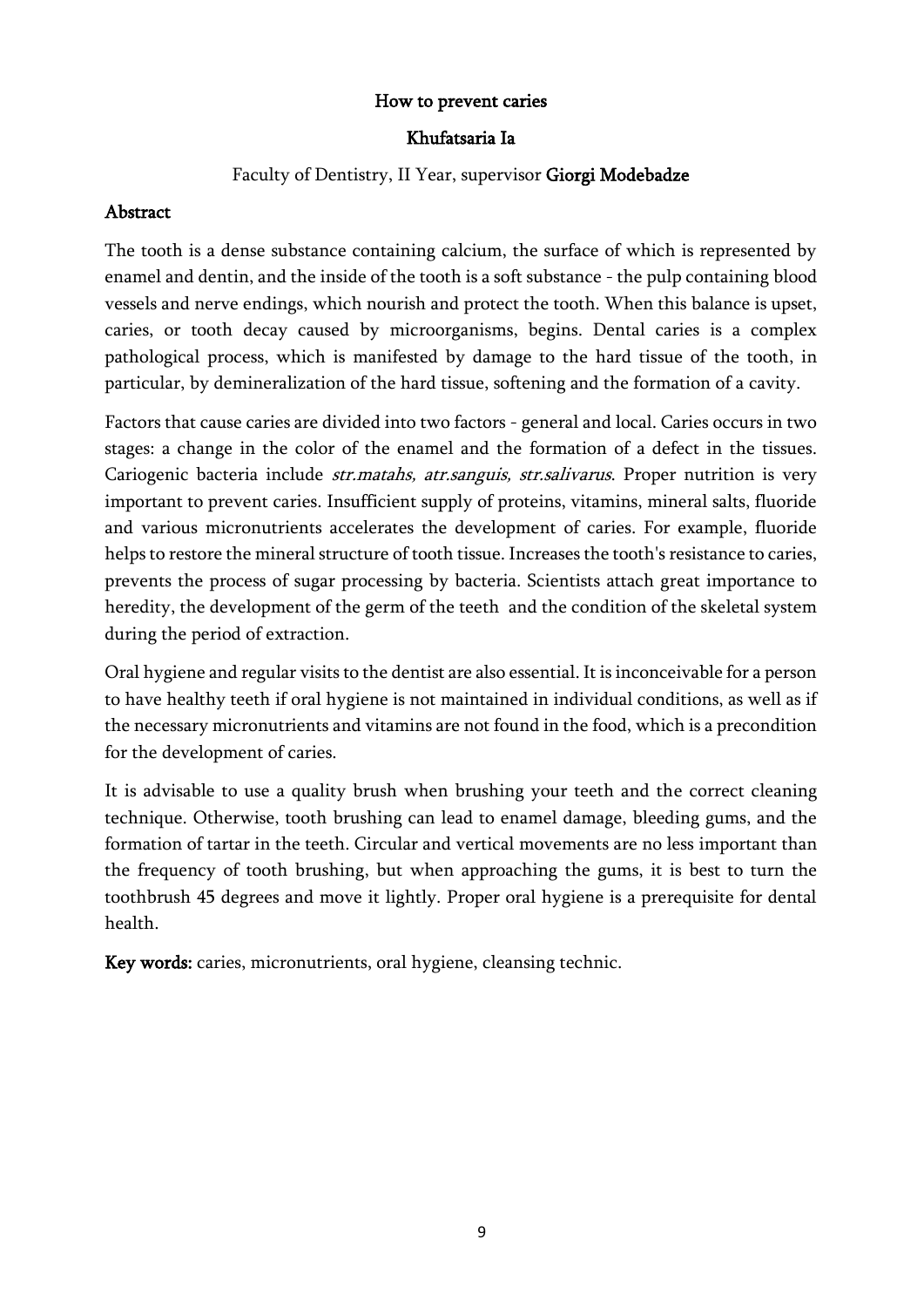### How to prevent caries

#### Khufatsaria Ia

#### Faculty of Dentistry, II Year, supervisor Giorgi Modebadze

#### Abstract

The tooth is a dense substance containing calcium, the surface of which is represented by enamel and dentin, and the inside of the tooth is a soft substance - the pulp containing blood vessels and nerve endings, which nourish and protect the tooth. When this balance is upset, caries, or tooth decay caused by microorganisms, begins. Dental caries is a complex pathological process, which is manifested by damage to the hard tissue of the tooth, in particular, by demineralization of the hard tissue, softening and the formation of a cavity.

Factors that cause caries are divided into two factors - general and local. Caries occurs in two stages: a change in the color of the enamel and the formation of a defect in the tissues. Cariogenic bacteria include str.matahs, atr.sanguis, str.salivarus. Proper nutrition is very important to prevent caries. Insufficient supply of proteins, vitamins, mineral salts, fluoride and various micronutrients accelerates the development of caries. For example, fluoride helps to restore the mineral structure of tooth tissue. Increases the tooth's resistance to caries, prevents the process of sugar processing by bacteria. Scientists attach great importance to heredity, the development of the germ of the teeth and the condition of the skeletal system during the period of extraction.

Oral hygiene and regular visits to the dentist are also essential. It is inconceivable for a person to have healthy teeth if oral hygiene is not maintained in individual conditions, as well as if the necessary micronutrients and vitamins are not found in the food, which is a precondition for the development of caries.

It is advisable to use a quality brush when brushing your teeth and the correct cleaning technique. Otherwise, tooth brushing can lead to enamel damage, bleeding gums, and the formation of tartar in the teeth. Circular and vertical movements are no less important than the frequency of tooth brushing, but when approaching the gums, it is best to turn the toothbrush 45 degrees and move it lightly. Proper oral hygiene is a prerequisite for dental health.

Key words: caries, micronutrients, oral hygiene, cleansing technic.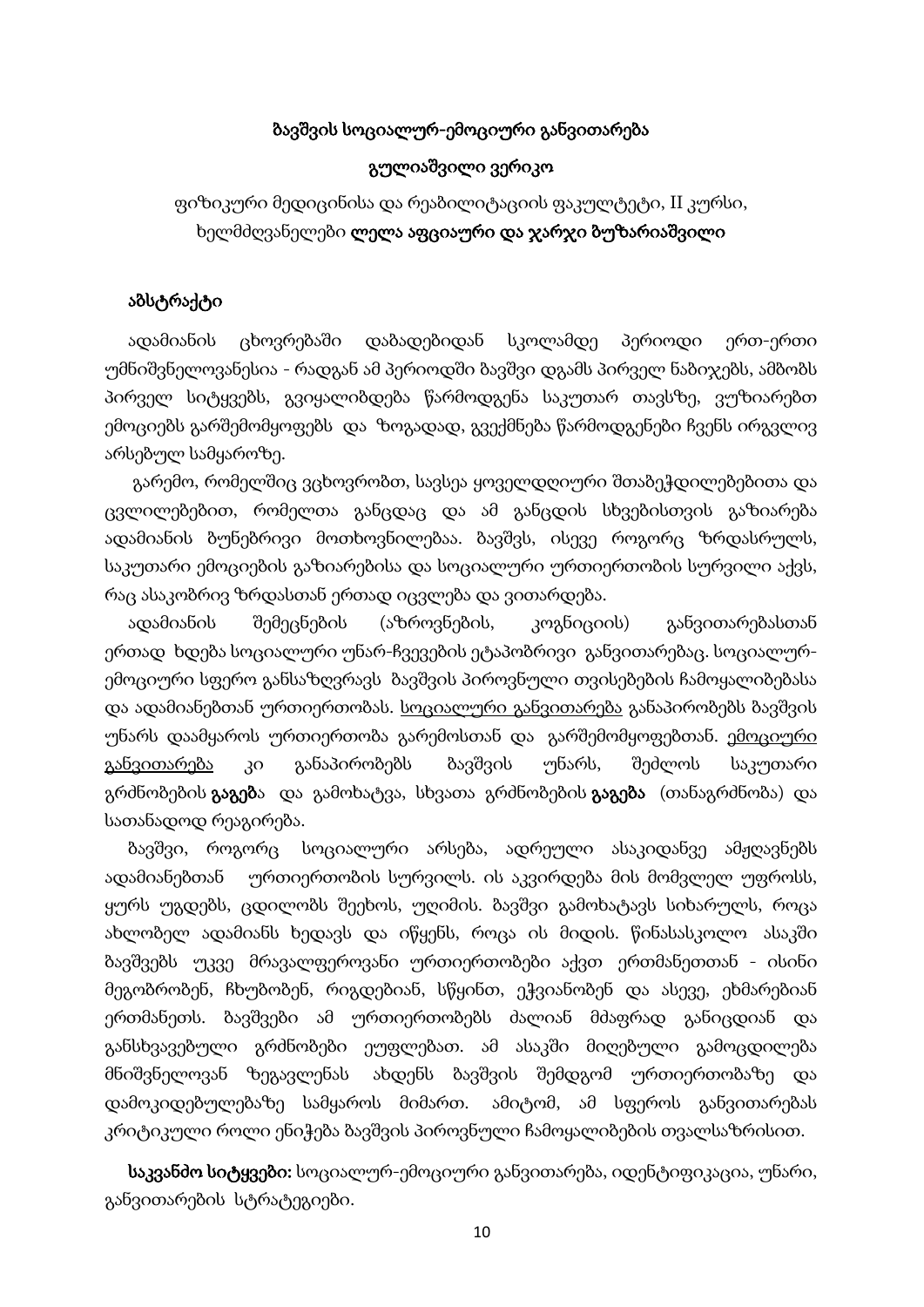#### ბავშვის სოციალურ-ემოციური განვითარება

#### გულიაშვილი ვერიკო

# ფიზიკური მედიცინისა და რეაბილიტაციის ფაკულტეტი, II კურსი, ხელმძღვანელები ლელა აფციაური და ჯარჯი ბუზარიაშვილი

#### აბსტრაქტი

 ადამიანის ცხოვრებაში დაბადებიდან სკოლამდე პერიოდი ერთ-ერთი უმნიშვნელოვანესია - რადგან ამ პერიოდში ბავშვი დგამს პირველ ნაბიჯებს, ამბობს პირველ სიტყვებს, გვიყალიბდება წარმოდგენა საკუთარ თავსზე, ვუზიარებთ ემოციებს გარშემომყოფებს და ზოგადად, გვექმნება წარმოდგენები ჩვენს ირგვლივ არსებულ სამყაროზე.

 გარემო, რომელშიც ვცხოვრობთ, სავსეა ყოველდღიური შთაბეჭდილებებითა და ცვლილებებით, რომელთა განცდაც და ამ განცდის სხვებისთვის გაზიარება ადამიანის ბუნებრივი მოთხოვნილებაა. ბავშვს, ისევე როგორც ზრდასრულს, საკუთარი ემოციების გაზიარებისა და სოციალური ურთიერთობის სურვილი აქვს, რაც ასაკობრივ ზრდასთან ერთად იცვლება და ვითარდება.

 ადამიანის შემეცნების (აზროვნების, კოგნიციის) განვითარებასთან ერთად ხდება სოციალური უნარ-ჩვევების ეტაპობრივი განვითარებაც. სოციალურემოციური სფერო განსაზღვრავს ბავშვის პიროვნული თვისებების ჩამოყალიბებასა და ადამიანებთან ურთიერთობას. <u>სოციალური განვითარება</u> განაპირობებს ბავშვის უნარს დაამყაროს ურთიერთობა გარემოსთან და გარშემომყოფებთან. ემოციური განვითარება კი განაპირობებს ბავშვის უნარს, შეძლოს საკუთარი გრძნობების **გაგებ**ა და გამოხატვა, სხვათა გრძნობების **გაგება** (თანაგრძნობა) და სათანადოდ რეაგირება.

 ბავშვი, როგორც სოციალური არსება, ადრეული ასაკიდანვე ამჟღავნებს ადამიანებთან ურთიერთობის სურვილს. ის აკვირდება მის მომვლელ უფროსს, ყურს უგდებს, ცდილობს შეეხოს, უღიმის. ბავშვი გამოხატავს სიხარულს, როცა ახლობელ ადამიანს ხედავს და იწყენს, როცა ის მიდის. წინასასკოლო ასაკში ბავშვებს უკვე მრავალფეროვანი ურთიერთობები აქვთ ერთმანეთთან - ისინი მეგობრობენ, ჩხუბობენ, რიგდებიან, სწყინთ, ეჭვიანობენ და ასევე, ეხმარებიან ერთმანეთს. ბავშვები ამ ურთიერთობებს ძალიან მძაფრად განიცდიან და განსხვავებული გრძნობები ეუფლებათ. ამ ასაკში მიღებული გამოცდილება მნიშვნელოვან ზეგავლენას ახდენს ბავშვის შემდგომ ურთიერთობაზე და დამოკიდებულებაზე სამყაროს მიმართ. ამიტომ, ამ სფეროს განვითარებას კრიტიკული როლი ენიჭება ბავშვის პიროვნული ჩამოყალიბების თვალსაზრისით.

 საკვანძო სიტყვები: სოციალურ-ემოციური განვითარება, იდენტიფიკაცია, უნარი, განვითარების სტრატეგიები.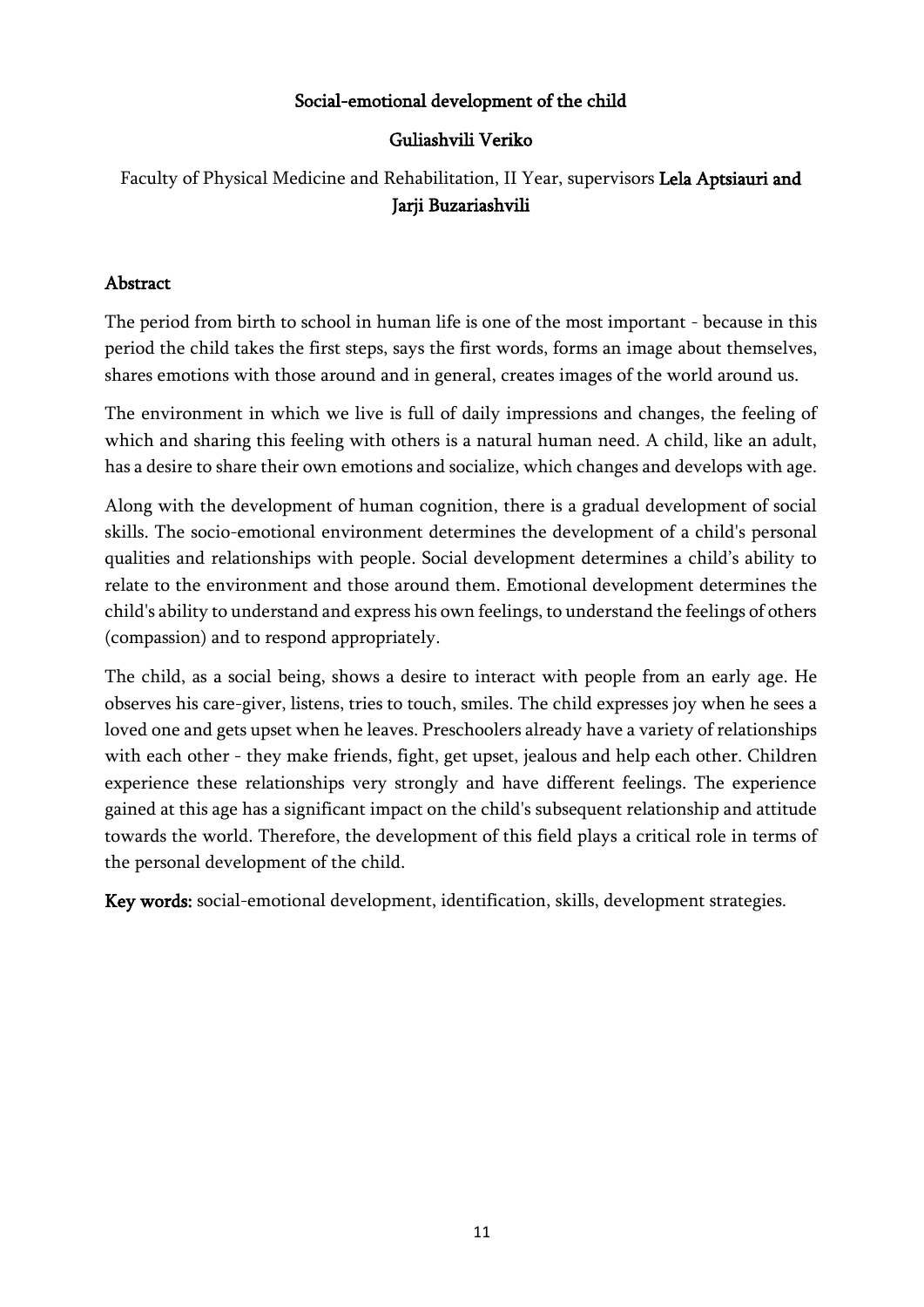### Social-emotional development of the child

### Guliashvili Veriko

# Faculty of Physical Medicine and Rehabilitation, II Year, supervisors Lela Aptsiauri and Jarji Buzariashvili

### Abstract

The period from birth to school in human life is one of the most important - because in this period the child takes the first steps, says the first words, forms an image about themselves, shares emotions with those around and in general, creates images of the world around us.

The environment in which we live is full of daily impressions and changes, the feeling of which and sharing this feeling with others is a natural human need. A child, like an adult, has a desire to share their own emotions and socialize, which changes and develops with age.

Along with the development of human cognition, there is a gradual development of social skills. The socio-emotional environment determines the development of a child's personal qualities and relationships with people. Social development determines a child's ability to relate to the environment and those around them. Emotional development determines the child's ability to understand and express his own feelings, to understand the feelings of others (compassion) and to respond appropriately.

The child, as a social being, shows a desire to interact with people from an early age. He observes his care-giver, listens, tries to touch, smiles. The child expresses joy when he sees a loved one and gets upset when he leaves. Preschoolers already have a variety of relationships with each other - they make friends, fight, get upset, jealous and help each other. Children experience these relationships very strongly and have different feelings. The experience gained at this age has a significant impact on the child's subsequent relationship and attitude towards the world. Therefore, the development of this field plays a critical role in terms of the personal development of the child.

Key words: social-emotional development, identification, skills, development strategies.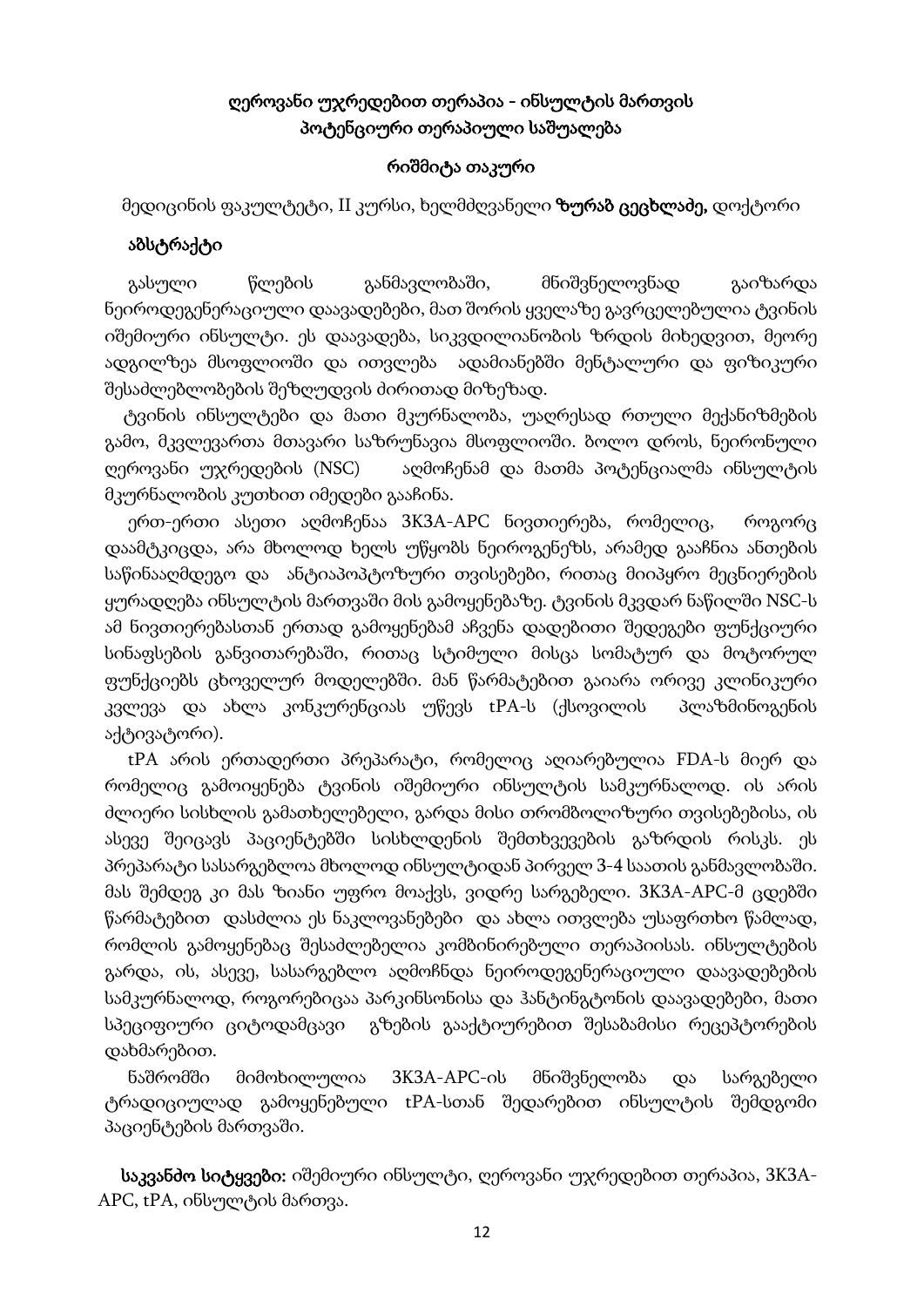# ღეროვანი უჯრედებით თერაპია - ინსულტის მართვის პოტენციური თერაპიული საშუალება

#### რიშმიტა თაკური

მედიცინის ფაკულტეტი, II კურსი, ხელმძღვანელი **ზურაბ ცეცხლაძე,** დოქტორი

### აბსტრაქტი

 გასული წლების განმავლობაში, მნიშვნელოვნად გაიზარდა ნეიროდეგენერაციული დაავადებები, მათ შორის ყველაზე გავრცელებულია ტვინის იშემიური ინსულტი. ეს დაავადება, სიკვდილიანობის ზრდის მიხედვით, მეორე ადგილზეა მსოფლიოში და ითვლება ადამიანებში მენტალური და ფიზიკური შესაძლებლობების შეზღუდვის ძირითად მიზეზად.

 ტვინის ინსულტები და მათი მკურნალობა, უაღრესად რთული მექანიზმების გამო, მკვლევართა მთავარი საზრუნავია მსოფლიოში. ბოლო დროს, ნეირონული ღეროვანი უჯრედების (NSC) აღმოჩენამ და მათმა პოტენციალმა ინსულტის მკურნალობის კუთხით იმედები გააჩინა.

 ერთ-ერთი ასეთი აღმოჩენაა 3K3A-APC ნივთიერება, რომელიც, როგორც დაამტკიცდა, არა მხოლოდ ხელს უწყობს ნეიროგენეზს, არამედ გააჩნია ანთების საწინააღმდეგო და ანტიაპოპტოზური თვისებები, რითაც მიიპყრო მეცნიერების ყურადღება ინსულტის მართვაში მის გამოყენებაზე. ტვინის მკვდარ ნაწილში NSC-ს ამ ნივთიერებასთან ერთად გამოყენებამ აჩვენა დადებითი შედეგები ფუნქციური სინაფსების განვითარებაში, რითაც სტიმული მისცა სომატურ და მოტორულ ფუნქციებს ცხოველურ მოდელებში. მან წარმატებით გაიარა ორივე კლინიკური კვლევა და ახლა კონკურენციას უწევს tPA-ს (ქსოვილის პლაზმინოგენის აქტივატორი).

 tPA არის ერთადერთი პრეპარატი, რომელიც აღიარებულია FDA-ს მიერ და რომელიც გამოიყენება ტვინის იშემიური ინსულტის სამკურნალოდ. ის არის ძლიერი სისხლის გამათხელებელი, გარდა მისი თრომბოლიზური თვისებებისა, ის ასევე შეიცავს პაციენტებში სისხლდენის შემთხვევების გაზრდის რისკს. ეს პრეპარატი სასარგებლოა მხოლოდ ინსულტიდან პირველ 3-4 საათის განმავლობაში. მას შემდეგ კი მას ზიანი უფრო მოაქვს, ვიდრე სარგებელი. 3K3A-APC-მ ცდებში წარმატებით დასძლია ეს ნაკლოვანებები და ახლა ითვლება უსაფრთხო წამლად, რომლის გამოყენებაც შესაძლებელია კომბინირებული თერაპიისას. ინსულტების გარდა, ის, ასევე, სასარგებლო აღმოჩნდა ნეიროდეგენერაციული დაავადებების სამკურნალოდ, როგორებიცაა პარკინსონისა და ჰანტინგტონის დაავადებები, მათი სპეციფიური ციტოდამცავი გზების გააქტიურებით შესაბამისი რეცეპტორების დახმარებით.

 ნაშრომში მიმოხილულია 3K3A-APC-ის მნიშვნელობა და სარგებელი ტრადიციულად გამოყენებული tPA-სთან შედარებით ინსულტის შემდგომი პაციენტების მართვაში.

საკვანძო სიტყვები: იშემიური ინსულტი, ღეროვანი უჯრედებით თერაპია, 3K3A-APC, tPA, ინსულტის მართვა.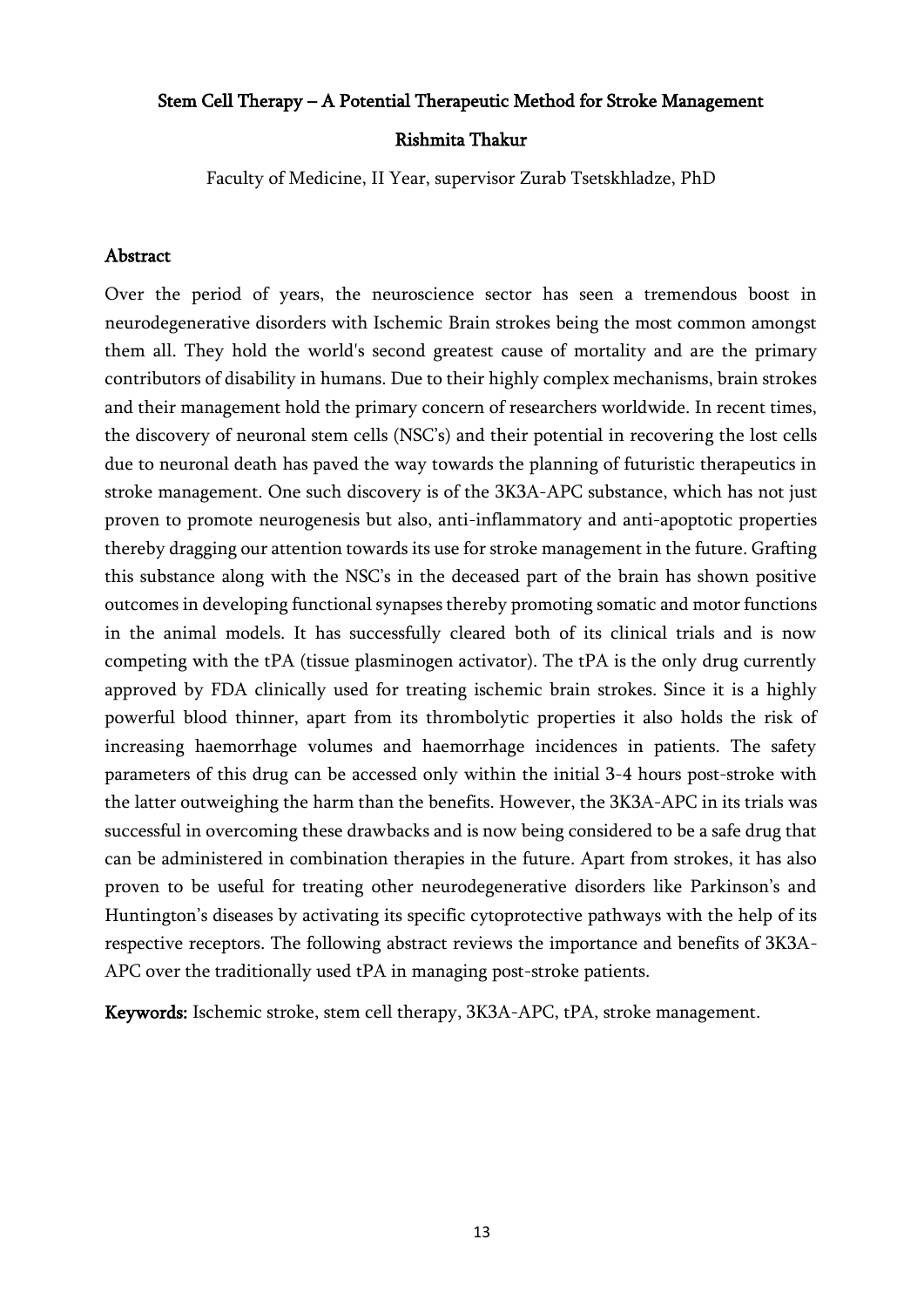#### Stem Cell Therapy – A Potential Therapeutic Method for Stroke Management

#### Rishmita Thakur

Faculty of Medicine, II Year, supervisor Zurab Tsetskhladze, PhD

#### Abstract

Over the period of years, the neuroscience sector has seen a tremendous boost in neurodegenerative disorders with Ischemic Brain strokes being the most common amongst them all. They hold the world's second greatest cause of mortality and are the primary contributors of disability in humans. Due to their highly complex mechanisms, brain strokes and their management hold the primary concern of researchers worldwide. In recent times, the discovery of neuronal stem cells (NSC's) and their potential in recovering the lost cells due to neuronal death has paved the way towards the planning of futuristic therapeutics in stroke management. One such discovery is of the 3K3A-APC substance, which has not just proven to promote neurogenesis but also, anti-inflammatory and anti-apoptotic properties thereby dragging our attention towards its use for stroke management in the future. Grafting this substance along with the NSC's in the deceased part of the brain has shown positive outcomes in developing functional synapses thereby promoting somatic and motor functions in the animal models. It has successfully cleared both of its clinical trials and is now competing with the tPA (tissue plasminogen activator). The tPA is the only drug currently approved by FDA clinically used for treating ischemic brain strokes. Since it is a highly powerful blood thinner, apart from its thrombolytic properties it also holds the risk of increasing haemorrhage volumes and haemorrhage incidences in patients. The safety parameters of this drug can be accessed only within the initial 3-4 hours post-stroke with the latter outweighing the harm than the benefits. However, the 3K3A-APC in its trials was successful in overcoming these drawbacks and is now being considered to be a safe drug that can be administered in combination therapies in the future. Apart from strokes, it has also proven to be useful for treating other neurodegenerative disorders like Parkinson's and Huntington's diseases by activating its specific cytoprotective pathways with the help of its respective receptors. The following abstract reviews the importance and benefits of 3K3A-APC over the traditionally used tPA in managing post-stroke patients.

Keywords: Ischemic stroke, stem cell therapy, 3K3A-APC, tPA, stroke management.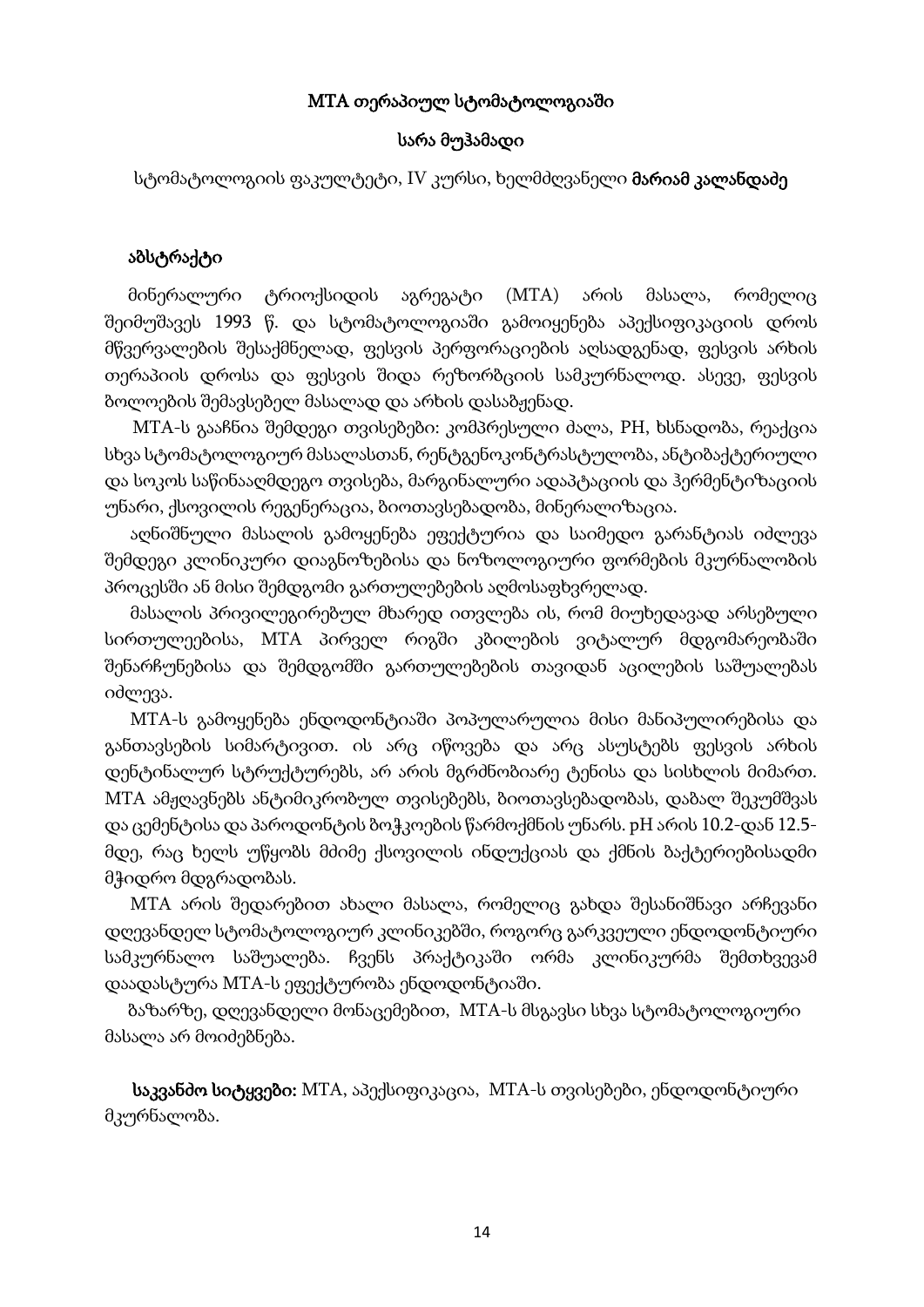### MTA თერაპიულ სტომატოლოგიაში

#### სარა მუჰამადი

სტომატოლოგიის ფაკულტეტი, IV კურსი, ხელმძღვანელი **მარიამ კალანდაძე** 

#### აბსტრაქტი

 მინერალური ტრიოქსიდის აგრეგატი (MTA) არის მასალა, რომელიც შეიმუშავეს 1993 წ. და სტომატოლოგიაში გამოიყენება აპექსიფიკაციის დროს მწვერვალების შესაქმნელად, ფესვის პერფორაციების აღსადგენად, ფესვის არხის თერაპიის დროსა და ფესვის შიდა რეზორბციის სამკურნალოდ. ასევე, ფესვის ბოლოების შემავსებელ მასალად და არხის დასაბჟენად.

MTA-ს გააჩნია შემდეგი თვისებები: კომპრესული ძალა, PH, ხსნადობა, რეაქცია სხვა სტომატოლოგიურ მასალასთან, რენტგენოკონტრასტულობა, ანტიბაქტერიული და სოკოს საწინააღმდეგო თვისება, მარგინალური ადაპტაციის და ჰერმენტიზაციის უნარი, ქსოვილის რეგენერაცია, ბიოთავსებადობა, მინერალიზაცია.

აღნიშნული მასალის გამოყენება ეფექტურია და საიმედო გარანტიას იძლევა შემდეგი კლინიკური დიაგნოზებისა და ნოზოლოგიური ფორმების მკურნალობის პროცესში ან მისი შემდგომი გართულებების აღმოსაფხვრელად.

მასალის პრივილეგირებულ მხარედ ითვლება ის, რომ მიუხედავად არსებული სირთულეებისა, MTA პირველ რიგში კბილების ვიტალურ მდგომარეობაში შენარჩუნებისა და შემდგომში გართულებების თავიდან აცილების საშუალებას იძლევა.

MTA-ს გამოყენება ენდოდონტიაში პოპულარულია მისი მანიპულირებისა და განთავსების სიმარტივით. ის არც იწოვება და არც ასუსტებს ფესვის არხის დენტინალურ სტრუქტურებს, არ არის მგრძნობიარე ტენისა და სისხლის მიმართ. MTA ამჟღავნებს ანტიმიკრობულ თვისებებს, ბიოთავსებადობას, დაბალ შეკუმშვას და ცემენტისა და პაროდონტის ბოჭკოების წარმოქმნის უნარს. pH არის 10.2-დან 12.5მდე, რაც ხელს უწყობს მძიმე ქსოვილის ინდუქციას და ქმნის ბაქტერიებისადმი მჭიდრო მდგრადობას.

MTA არის შედარებით ახალი მასალა, რომელიც გახდა შესანიშნავი არჩევანი დღევანდელ სტომატოლოგიურ კლინიკებში, როგორც გარკვეული ენდოდონტიური სამკურნალო საშუალება. ჩვენს პრაქტიკაში ორმა კლინიკურმა შემთხვევამ დაადასტურა MTA-ს ეფექტურობა ენდოდონტიაში.

ბაზარზე, დღევანდელი მონაცემებით, MTA-ს მსგავსი სხვა სტომატოლოგიური მასალა არ მოიძებნება.

საკვანძო სიტყვები: MTA, აპექსიფიკაცია, MTA-ს თვისებები, ენდოდონტიური მკურნალობა.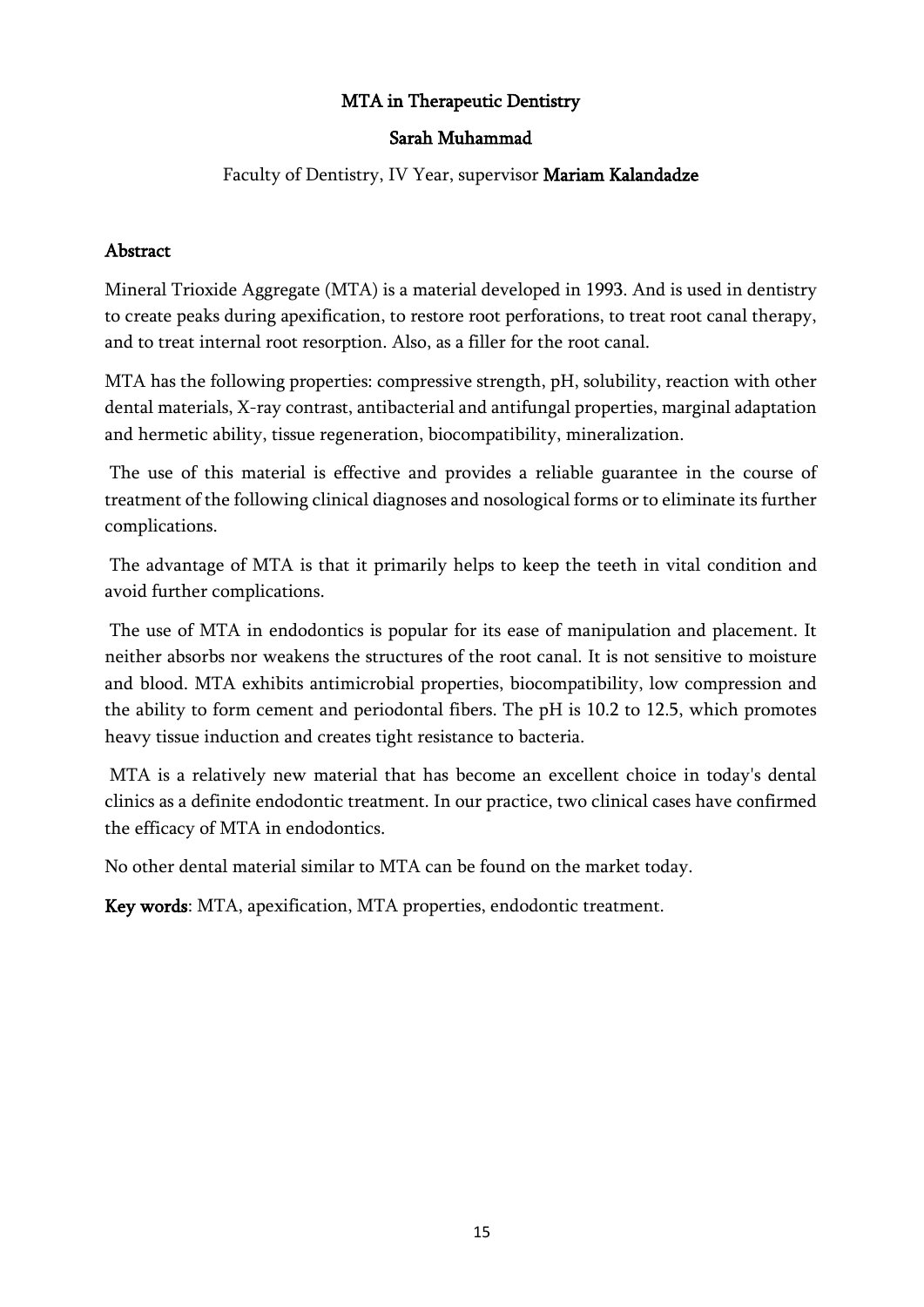### MTA in Therapeutic Dentistry

### Sarah Muhammad

### Faculty of Dentistry, IV Year, supervisor Mariam Kalandadze

#### Abstract

Mineral Trioxide Aggregate (MTA) is a material developed in 1993. And is used in dentistry to create peaks during apexification, to restore root perforations, to treat root canal therapy, and to treat internal root resorption. Also, as a filler for the root canal.

MTA has the following properties: compressive strength, pH, solubility, reaction with other dental materials, X-ray contrast, antibacterial and antifungal properties, marginal adaptation and hermetic ability, tissue regeneration, biocompatibility, mineralization.

The use of this material is effective and provides a reliable guarantee in the course of treatment of the following clinical diagnoses and nosological forms or to eliminate its further complications.

The advantage of MTA is that it primarily helps to keep the teeth in vital condition and avoid further complications.

The use of MTA in endodontics is popular for its ease of manipulation and placement. It neither absorbs nor weakens the structures of the root canal. It is not sensitive to moisture and blood. MTA exhibits antimicrobial properties, biocompatibility, low compression and the ability to form cement and periodontal fibers. The pH is 10.2 to 12.5, which promotes heavy tissue induction and creates tight resistance to bacteria.

MTA is a relatively new material that has become an excellent choice in today's dental clinics as a definite endodontic treatment. In our practice, two clinical cases have confirmed the efficacy of MTA in endodontics.

No other dental material similar to MTA can be found on the market today.

Key words: MTA, apexification, MTA properties, endodontic treatment.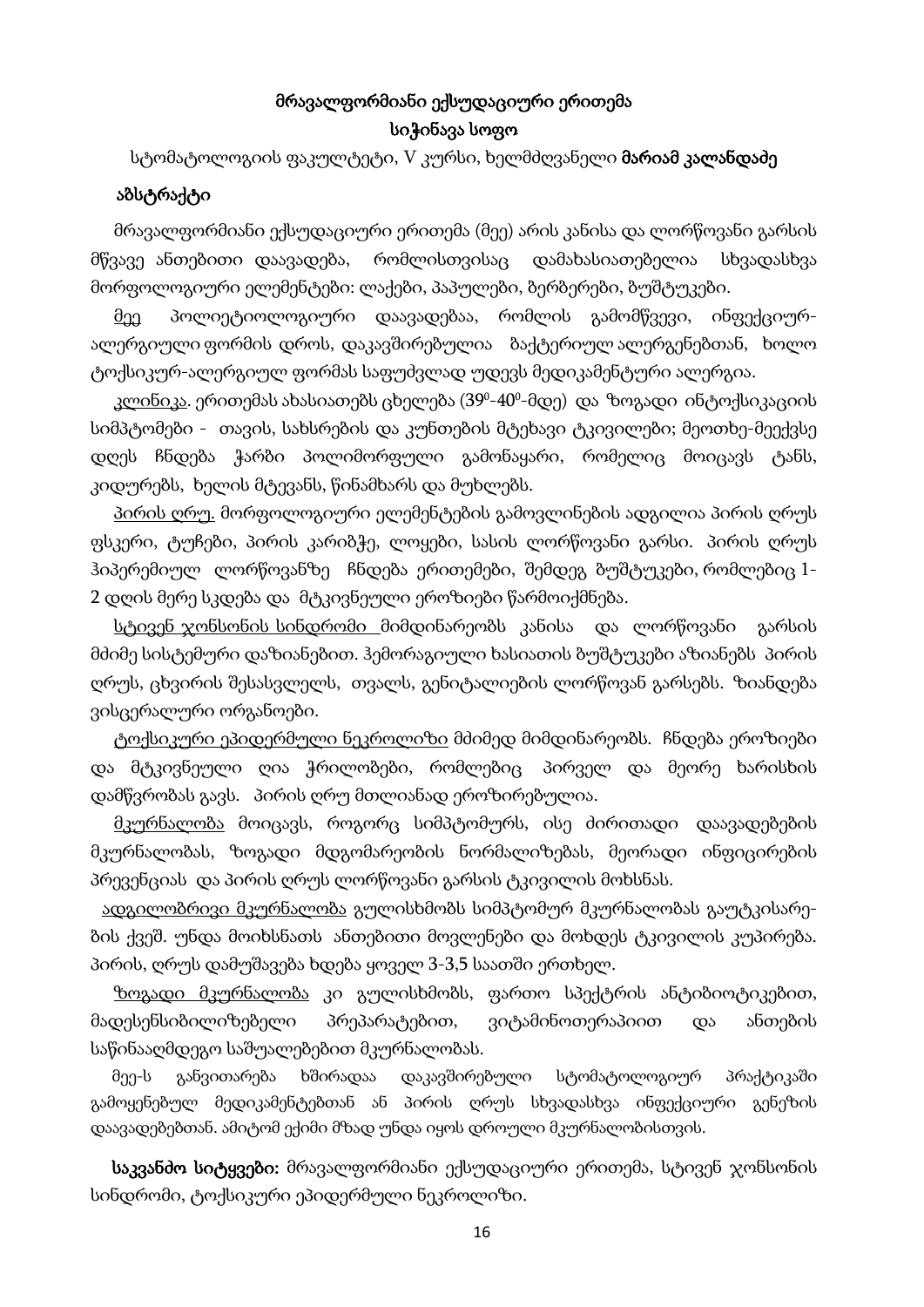# მრავალფორმიანი ექსუდაციური ერითემა სიჭინავა სოფო

სტომატოლოგიის ფაკულტეტი, V კურსი, ხელმძღვანელი **მარიამ კალანდაძე** 

#### აბსტრაქტი

 მრავალფორმიანი ექსუდაციური ერითემა (მეე) არის კანისა და ლორწოვანი გარსის მწვავე ანთებითი დაავადება, რომლისთვისაც დამახასიათებელია სხვადასხვა მორფოლოგიური ელემენტები: ლაქები, პაპულები, ბერბერები, ბუშტუკები.

 მეე პოლიეტიოლოგიური დაავადებაა, რომლის გამომწვევი, ინფექციურალერგიული ფორმის დროს, დაკავშირებულია ბაქტერიულ ალერგენებთან, ხოლო ტოქსიკურ-ალერგიულ ფორმას საფუძვლად უდევს მედიკამენტური ალერგია.

კ<u>ლინიკა</u>. ერითემას ახასიათებს ცხელება (39º-40º-მდე) და ზოგადი ინტოქსიკაციის სიმპტომები - თავის, სახსრების და კუნთების მტეხავი ტკივილები; მეოთხე-მეექვსე დღეს ჩნდება ჭარბი პოლიმორფული გამონაყარი, რომელიც მოიცავს ტანს, კიდურებს, ხელის მტევანს, წინამხარს და მუხლებს.

<u>პირის ღრუ.</u> მორფოლოგიური ელემენტების გამოვლინების ადგილია პირის ღრუს ფსკერი, ტუჩები, პირის კარიბჭე, ლოყები, სასის ლორწოვანი გარსი. პირის ღრუს ჰიპერემიულ ლორწოვანზე ჩნდება ერითემები, შემდეგ ბუშტუკები, რომლებიც 1- 2 დღის მერე სკდება და მტკივნეული ეროზიები წარმოიქმნება.

 სტივენ ჯონსონის სინდრომი მიმდინარეობს კანისა და ლორწოვანი გარსის მძიმე სისტემური დაზიანებით. ჰემორაგიული ხასიათის ბუშტუკები აზიანებს პირის ღრუს, ცხვირის შესასვლელს, თვალს, გენიტალიების ლორწოვან გარსებს. ზიანდება ვისცერალური ორგანოები.

 ტოქსიკური ეპიდერმული ნეკროლიზი მძიმედ მიმდინარეობს. ჩნდება ეროზიები და მტკივნეული ღია ჭრილობები, რომლებიც პირველ და მეორე ხარისხის დამწვრობას გავს. პირის ღრუ მთლიანად ეროზირებულია.

 მკურნალობა მოიცავს, როგორც სიმპტომურს, ისე ძირითადი დაავადებების მკურნალობას, ზოგადი მდგომარეობის ნორმალიზებას, მეორადი ინფიცირების პრევენციას და პირის ღრუს ლორწოვანი გარსის ტკივილის მოხსნას.

ადგილობრივი მკურნალობა გულისხმობს სიმპტომურ მკურნალობას გაუტკისარების ქვეშ. უნდა მოიხსნათს ანთებითი მოვლენები და მოხდეს ტკივილის კუპირება. პირის, ღრუს დამუშავება ხდება ყოველ 3-3,5 საათში ერთხელ.

 ზოგადი მკურნალობა კი გულისხმობს, ფართო სპექტრის ანტიბიოტიკებით, მადესენსიბილიზებელი პრეპარატებით, ვიტამინოთერაპიით და ანთების საწინააღმდეგო საშუალებებით მკურნალობას.

 მეე-ს განვითარება ხშირადაა დაკავშირებული სტომატოლოგიურ პრაქტიკაში გამოყენებულ მედიკამენტებთან ან პირის ღრუს სხვადასხვა ინფექციური გენეზის დაავადებებთან. ამიტომ ექიმი მზად უნდა იყოს დროული მკურნალობისთვის.

 საკვანძო სიტყვები: მრავალფორმიანი ექსუდაციური ერითემა, სტივენ ჯონსონის სინდრომი, ტოქსიკური ეპიდერმული ნეკროლიზი.

16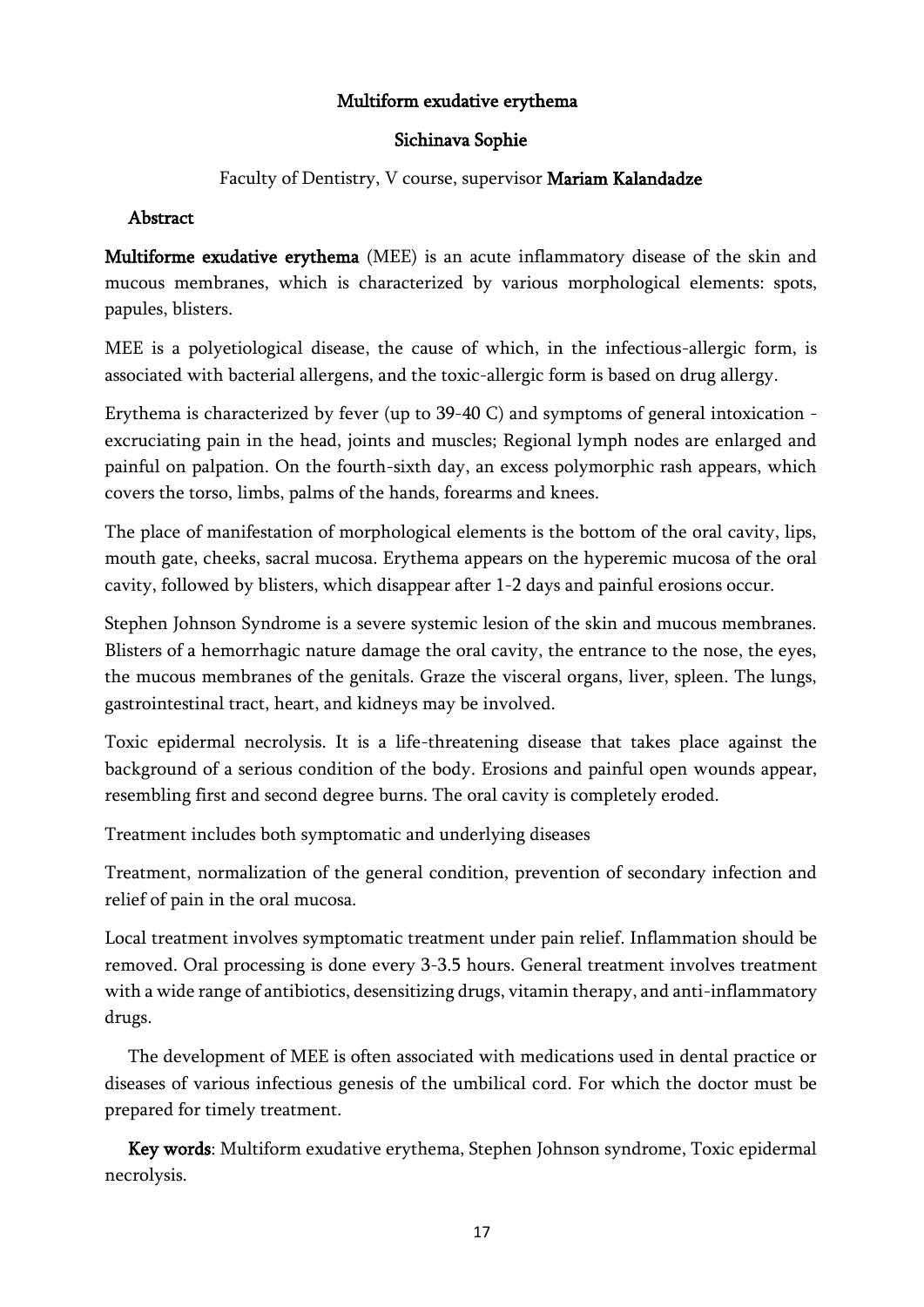### Multiform exudative erythema

### Sichinava Sophie

### Faculty of Dentistry, V course, supervisor Mariam Kalandadze

### Abstract

Multiforme exudative erythema (MEE) is an acute inflammatory disease of the skin and mucous membranes, which is characterized by various morphological elements: spots, papules, blisters.

MEE is a polyetiological disease, the cause of which, in the infectious-allergic form, is associated with bacterial allergens, and the toxic-allergic form is based on drug allergy.

Erythema is characterized by fever (up to 39-40 C) and symptoms of general intoxication excruciating pain in the head, joints and muscles; Regional lymph nodes are enlarged and painful on palpation. On the fourth-sixth day, an excess polymorphic rash appears, which covers the torso, limbs, palms of the hands, forearms and knees.

The place of manifestation of morphological elements is the bottom of the oral cavity, lips, mouth gate, cheeks, sacral mucosa. Erythema appears on the hyperemic mucosa of the oral cavity, followed by blisters, which disappear after 1-2 days and painful erosions occur.

Stephen Johnson Syndrome is a severe systemic lesion of the skin and mucous membranes. Blisters of a hemorrhagic nature damage the oral cavity, the entrance to the nose, the eyes, the mucous membranes of the genitals. Graze the visceral organs, liver, spleen. The lungs, gastrointestinal tract, heart, and kidneys may be involved.

Toxic epidermal necrolysis. It is a life-threatening disease that takes place against the background of a serious condition of the body. Erosions and painful open wounds appear, resembling first and second degree burns. The oral cavity is completely eroded.

Treatment includes both symptomatic and underlying diseases

Treatment, normalization of the general condition, prevention of secondary infection and relief of pain in the oral mucosa.

Local treatment involves symptomatic treatment under pain relief. Inflammation should be removed. Oral processing is done every 3-3.5 hours. General treatment involves treatment with a wide range of antibiotics, desensitizing drugs, vitamin therapy, and anti-inflammatory drugs.

 The development of MEE is often associated with medications used in dental practice or diseases of various infectious genesis of the umbilical cord. For which the doctor must be prepared for timely treatment.

 Key words: Multiform exudative erythema, Stephen Johnson syndrome, Toxic epidermal necrolysis.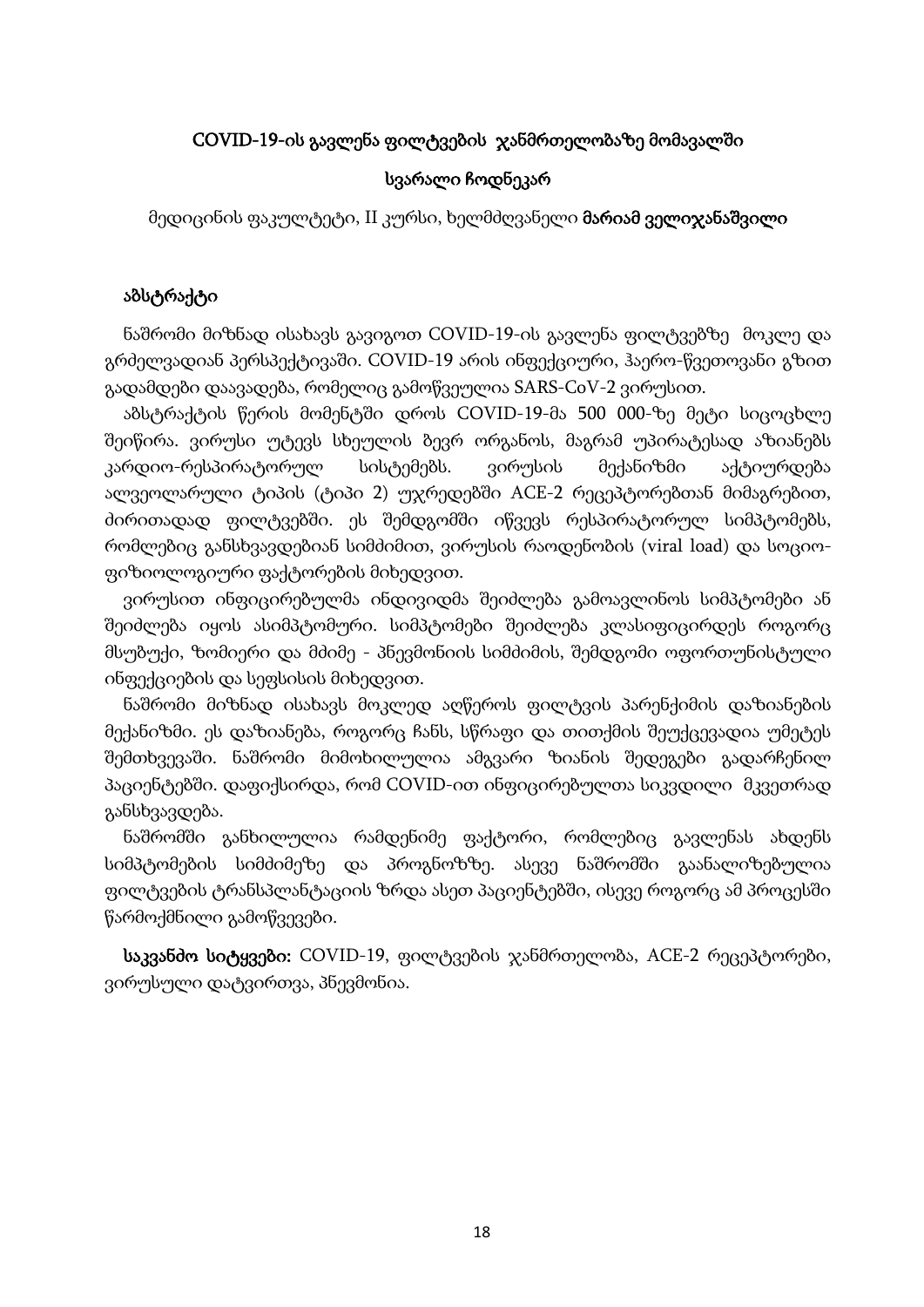### COVID-19-ის გავლენა ფილტვების ჯანმრთელობაზე მომავალში

#### სვარალი ჩოდნეკარ

მედიცინის ფაკულტეტი, II კურსი, ხელმძღვანელი მარიამ ველიჯანაშვილი

#### აბსტრაქტი

 ნაშრომი მიზნად ისახავს გავიგოთ COVID-19-ის გავლენა ფილტვებზე მოკლე და გრძელვადიან პერსპექტივაში. COVID-19 არის ინფექციური, ჰაერო-წვეთოვანი გზით გადამდები დაავადება, რომელიც გამოწვეულია SARS-CoV-2 ვირუსით.

 აბსტრაქტის წერის მომენტში დროს COVID-19-მა 500 000-ზე მეტი სიცოცხლე შეიწირა. ვირუსი უტევს სხეულის ბევრ ორგანოს, მაგრამ უპირატესად აზიანებს კარდიო-რესპირატორულ სისტემებს. ვირუსის მექანიზმი აქტიურდება ალვეოლარული ტიპის (ტიპი 2) უჯრედებში ACE-2 რეცეპტორებთან მიმაგრებით, ძირითადად ფილტვებში. ეს შემდგომში იწვევს რესპირატორულ სიმპტომებს, რომლებიც განსხვავდებიან სიმძიმით, ვირუსის რაოდენობის (viral load) და სოციოფიზიოლოგიური ფაქტორების მიხედვით.

 ვირუსით ინფიცირებულმა ინდივიდმა შეიძლება გამოავლინოს სიმპტომები ან შეიძლება იყოს ასიმპტომური. სიმპტომები შეიძლება კლასიფიცირდეს როგორც მსუბუქი, ზომიერი და მძიმე - პნევმონიის სიმძიმის, შემდგომი ოფორთუნისტული ინფექციების და სეფსისის მიხედვით.

 ნაშრომი მიზნად ისახავს მოკლედ აღწეროს ფილტვის პარენქიმის დაზიანების მექანიზმი. ეს დაზიანება, როგორც ჩანს, სწრაფი და თითქმის შეუქცევადია უმეტეს შემთხვევაში. ნაშრომი მიმოხილულია ამგვარი ზიანის შედეგები გადარჩენილ პაციენტებში. დაფიქსირდა, რომ COVID-ით ინფიცირებულთა სიკვდილი მკვეთრად განსხვავდება.

 ნაშრომში განხილულია რამდენიმე ფაქტორი, რომლებიც გავლენას ახდენს სიმპტომების სიმძიმეზე და პროგნოზზე. ასევე ნაშრომში გაანალიზებულია ფილტვების ტრანსპლანტაციის ზრდა ასეთ პაციენტებში, ისევე როგორც ამ პროცესში წარმოქმნილი გამოწვევები.

საკვანძო სიტყვები: COVID-19, ფილტვების ჯანმრთელობა, ACE-2 რეცეპტორები, ვირუსული დატვირთვა, პნევმონია.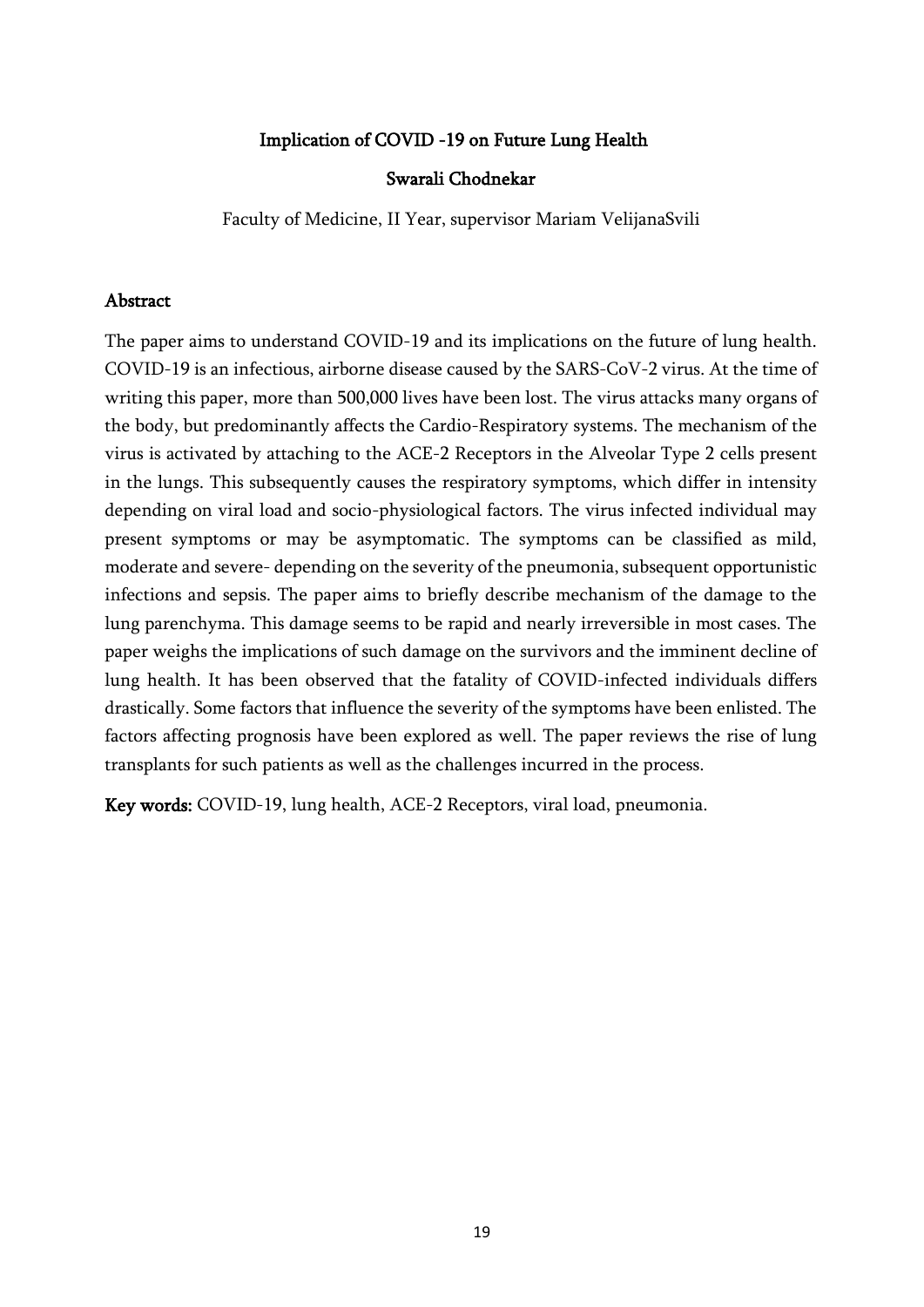#### Implication of COVID -19 on Future Lung Health

#### Swarali Chodnekar

Faculty of Medicine, II Year, supervisor Mariam VelijanaSvili

#### **Abstract**

The paper aims to understand COVID-19 and its implications on the future of lung health. COVID-19 is an infectious, airborne disease caused by the SARS-CoV-2 virus. At the time of writing this paper, more than 500,000 lives have been lost. The virus attacks many organs of the body, but predominantly affects the Cardio-Respiratory systems. The mechanism of the virus is activated by attaching to the ACE-2 Receptors in the Alveolar Type 2 cells present in the lungs. This subsequently causes the respiratory symptoms, which differ in intensity depending on viral load and socio-physiological factors. The virus infected individual may present symptoms or may be asymptomatic. The symptoms can be classified as mild, moderate and severe- depending on the severity of the pneumonia, subsequent opportunistic infections and sepsis. The paper aims to briefly describe mechanism of the damage to the lung parenchyma. This damage seems to be rapid and nearly irreversible in most cases. The paper weighs the implications of such damage on the survivors and the imminent decline of lung health. It has been observed that the fatality of COVID-infected individuals differs drastically. Some factors that influence the severity of the symptoms have been enlisted. The factors affecting prognosis have been explored as well. The paper reviews the rise of lung transplants for such patients as well as the challenges incurred in the process.

Key words: COVID-19, lung health, ACE-2 Receptors, viral load, pneumonia.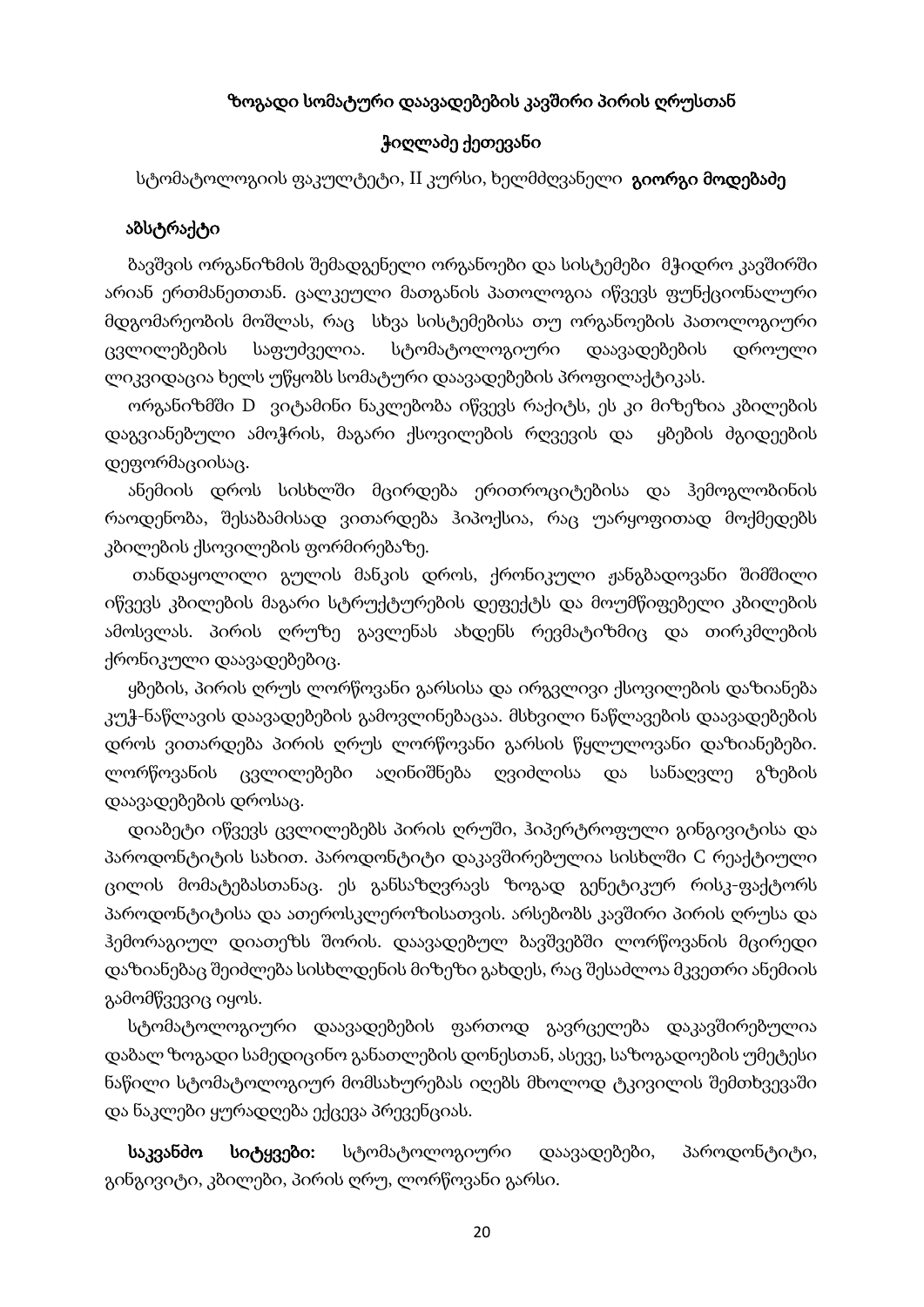#### ზოგადი სომატური დაავადებების კავშირი პირის ღრუსთან

#### ჭიღლაძე ქეთევანი

სტომატოლოგიის ფაკულტეტი, II კურსი, ხელმძღვანელი **გიორგი მოდებაძე** 

#### აბსტრაქტი

 ბავშვის ორგანიზმის შემადგენელი ორგანოები და სისტემები მჭიდრო კავშირში არიან ერთმანეთთან. ცალკეული მათგანის პათოლოგია იწვევს ფუნქციონალური მდგომარეობის მოშლას, რაც სხვა სისტემებისა თუ ორგანოების პათოლოგიური ცვლილებების საფუძველია. სტომატოლოგიური დაავადებების დროული ლიკვიდაცია ხელს უწყობს სომატური დაავადებების პროფილაქტიკას.

 ორგანიზმში D ვიტამინი ნაკლებობა იწვევს რაქიტს, ეს კი მიზეზია კბილების დაგვიანებული ამოჭრის, მაგარი ქსოვილების რღვევის და ყბების ძგიდეების დეფორმაციისაც.

 ანემიის დროს სისხლში მცირდება ერითროციტებისა და ჰემოგლობინის რაოდენობა, შესაბამისად ვითარდება ჰიპოქსია, რაც უარყოფითად მოქმედებს კბილების ქსოვილების ფორმირებაზე.

 თანდაყოლილი გულის მანკის დროს, ქრონიკული ჟანგბადოვანი შიმშილი იწვევს კბილების მაგარი სტრუქტურების დეფექტს და მოუმწიფებელი კბილების ამოსვლას. პირის ღრუზე გავლენას ახდენს რევმატიზმიც და თირკმლების ქრონიკული დაავადებებიც.

 ყბების, პირის ღრუს ლორწოვანი გარსისა და ირგვლივი ქსოვილების დაზიანება კუჭ-ნაწლავის დაავადებების გამოვლინებაცაა. მსხვილი ნაწლავების დაავადებების დროს ვითარდება პირის ღრუს ლორწოვანი გარსის წყლულოვანი დაზიანებები. ლორწოვანის ცვლილებები აღინიშნება ღვიძლისა და სანაღვლე გზების დაავადებების დროსაც.

 დიაბეტი იწვევს ცვლილებებს პირის ღრუში, ჰიპერტროფული გინგივიტისა და პაროდონტიტის სახით. პაროდონტიტი დაკავშირებულია სისხლში C რეაქტიული ცილის მომატებასთანაც. ეს განსაზღვრავს ზოგად გენეტიკურ რისკ-ფაქტორს პაროდონტიტისა და ათეროსკლეროზისათვის. არსებობს კავშირი პირის ღრუსა და ჰემორაგიულ დიათეზს შორის. დაავადებულ ბავშვებში ლორწოვანის მცირედი დაზიანებაც შეიძლება სისხლდენის მიზეზი გახდეს, რაც შესაძლოა მკვეთრი ანემიის გამომწვევიც იყოს.

 სტომატოლოგიური დაავადებების ფართოდ გავრცელება დაკავშირებულია დაბალ ზოგადი სამედიცინო განათლების დონესთან, ასევე, საზოგადოების უმეტესი ნაწილი სტომატოლოგიურ მომსახურებას იღებს მხოლოდ ტკივილის შემთხვევაში და ნაკლები ყურადღება ექცევა პრევენციას.

 საკვანძო სიტყვები: სტომატოლოგიური დაავადებები, პაროდონტიტი, გინგივიტი, კბილები, პირის ღრუ, ლორწოვანი გარსი.

20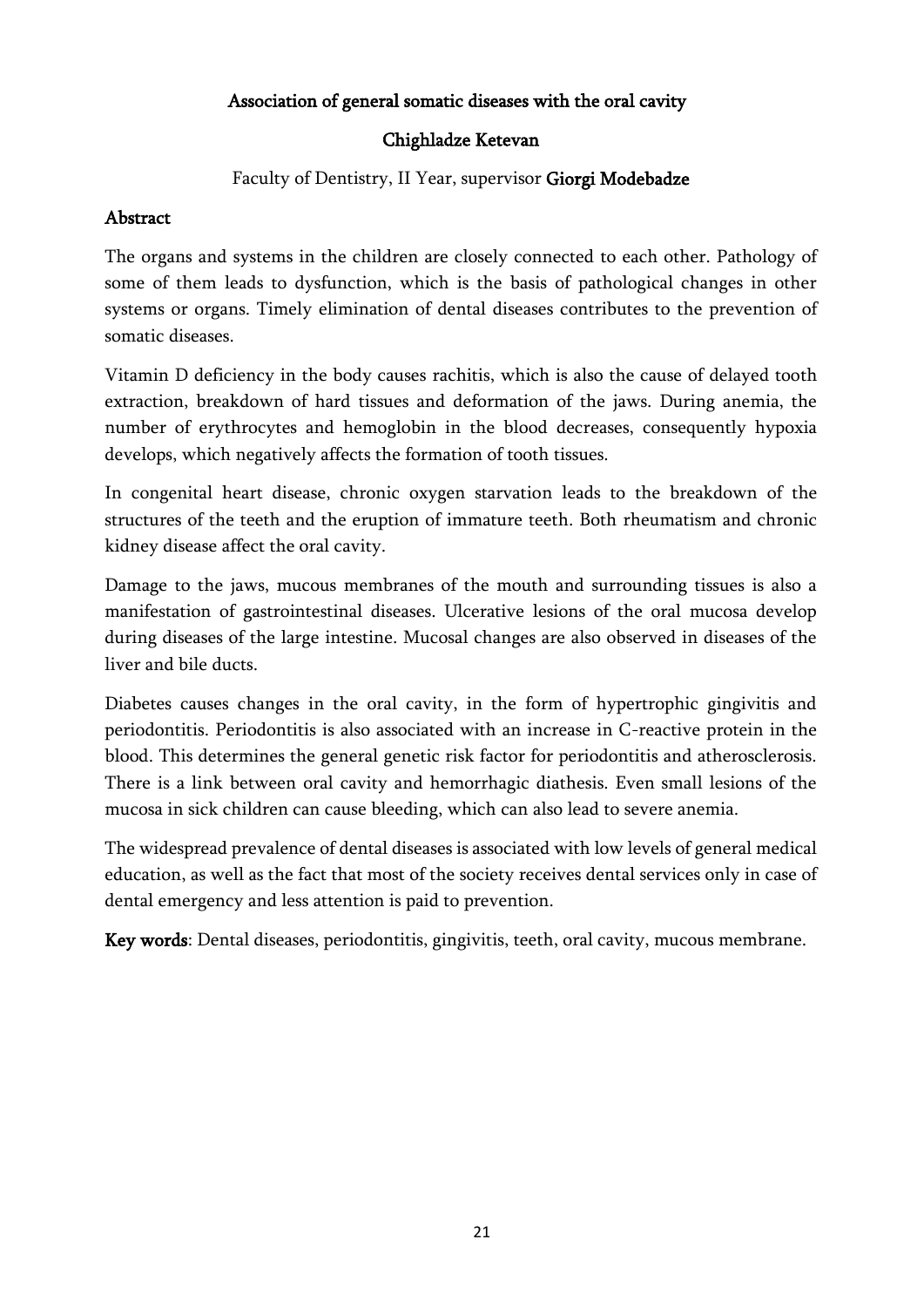### Association of general somatic diseases with the oral cavity

### Chighladze Ketevan

Faculty of Dentistry, II Year, supervisor Giorgi Modebadze

# Abstract

The organs and systems in the children are closely connected to each other. Pathology of some of them leads to dysfunction, which is the basis of pathological changes in other systems or organs. Timely elimination of dental diseases contributes to the prevention of somatic diseases.

Vitamin D deficiency in the body causes rachitis, which is also the cause of delayed tooth extraction, breakdown of hard tissues and deformation of the jaws. During anemia, the number of erythrocytes and hemoglobin in the blood decreases, consequently hypoxia develops, which negatively affects the formation of tooth tissues.

In congenital heart disease, chronic oxygen starvation leads to the breakdown of the structures of the teeth and the eruption of immature teeth. Both rheumatism and chronic kidney disease affect the oral cavity.

Damage to the jaws, mucous membranes of the mouth and surrounding tissues is also a manifestation of gastrointestinal diseases. Ulcerative lesions of the oral mucosa develop during diseases of the large intestine. Mucosal changes are also observed in diseases of the liver and bile ducts.

Diabetes causes changes in the oral cavity, in the form of hypertrophic gingivitis and periodontitis. Periodontitis is also associated with an increase in C-reactive protein in the blood. This determines the general genetic risk factor for periodontitis and atherosclerosis. There is a link between oral cavity and hemorrhagic diathesis. Even small lesions of the mucosa in sick children can cause bleeding, which can also lead to severe anemia.

The widespread prevalence of dental diseases is associated with low levels of general medical education, as well as the fact that most of the society receives dental services only in case of dental emergency and less attention is paid to prevention.

Key words: Dental diseases, periodontitis, gingivitis, teeth, oral cavity, mucous membrane.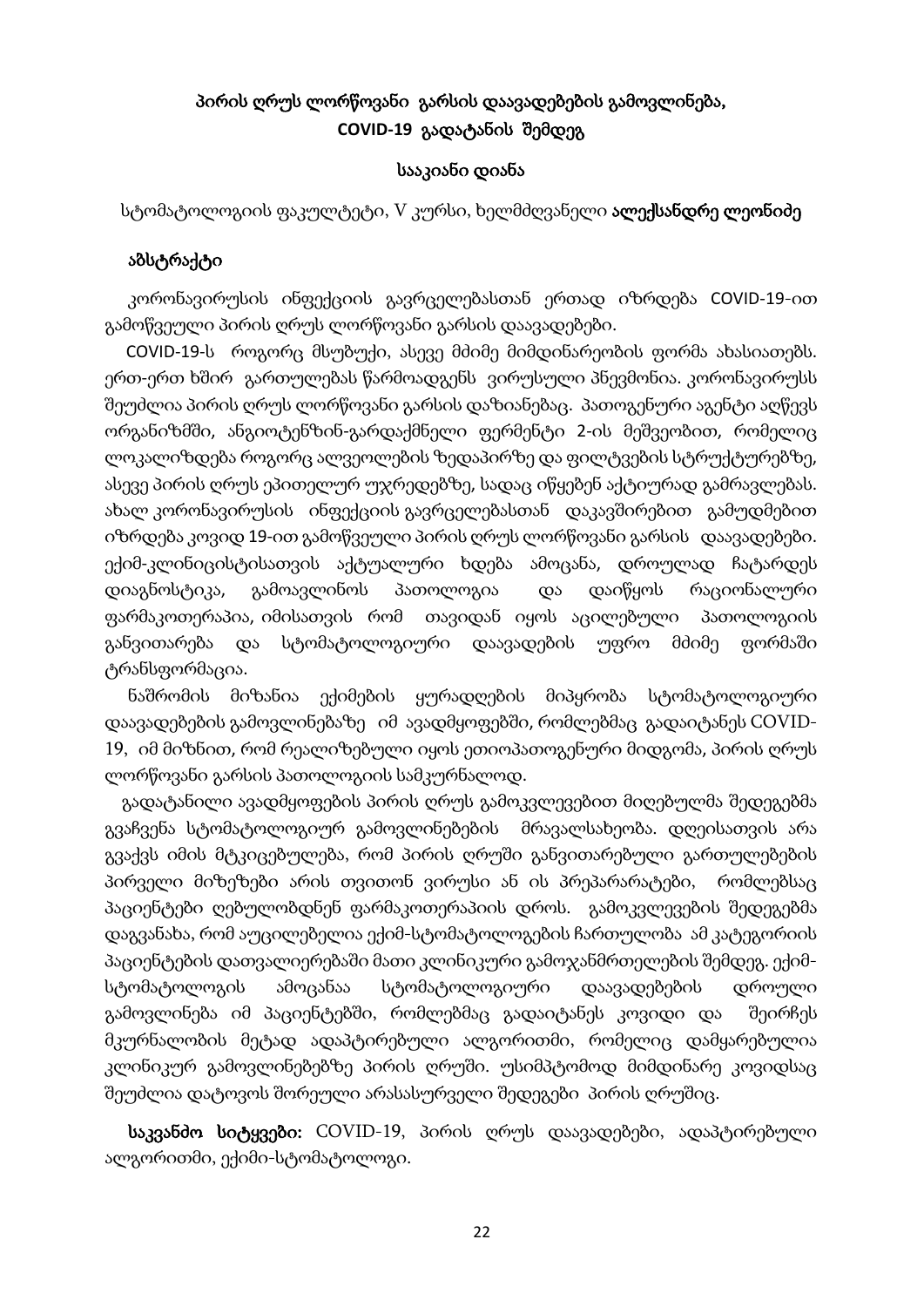# პირის ღრუს ლორწოვანი გარსის დაავადებების გამოვლინება, **COVID-19** გადატანის შემდეგ

#### სააკიანი დიანა

სტომატოლოგიის ფაკულტეტი, V კურსი, ხელმძღვანელი **ალექსანდრე ლეონიძე** 

#### აბსტრაქტი

 კორონავირუსის ინფექციის გავრცელებასთან ერთად იზრდება COVID-19-ით გამოწვეული პირის ღრუს ლორწოვანი გარსის დაავადებები.

 COVID-19-ს როგორც მსუბუქი, ასევე მძიმე მიმდინარეობის ფორმა ახასიათებს. ერთ-ერთ ხშირ გართულებას წარმოადგენს ვირუსული პნევმონია. კორონავირუსს შეუძლია პირის ღრუს ლორწოვანი გარსის დაზიანებაც. პათოგენური აგენტი აღწევს ორგანიზმში, ანგიოტენზინ-გარდაქმნელი ფერმენტი 2-ის მეშვეობით, რომელიც ლოკალიზდება როგორც ალვეოლების ზედაპირზე და ფილტვების სტრუქტურებზე, ასევე პირის ღრუს ეპითელურ უჯრედებზე, სადაც იწყებენ აქტიურად გამრავლებას. ახალ კორონავირუსის ინფექციის გავრცელებასთან დაკავშირებით გამუდმებით იზრდება კოვიდ 19-ით გამოწვეული პირის ღრუს ლორწოვანი გარსის დაავადებები. ექიმ-კლინიცისტისათვის აქტუალური ხდება ამოცანა, დროულად ჩატარდეს დიაგნოსტიკა, გამოავლინოს პათოლოგია და დაიწყოს რაციონალური ფარმაკოთერაპია, იმისათვის რომ თავიდან იყოს აცილებული პათოლოგიის განვითარება და სტომატოლოგიური დაავადების უფრო მძიმე ფორმაში ტრანსფორმაცია.

 ნაშრომის მიზანია ექიმების ყურადღების მიპყრობა სტომატოლოგიური დაავადებების გამოვლინებაზე იმ ავადმყოფებში, რომლებმაც გადაიტანეს COVID-19, იმ მიზნით, რომ რეალიზებული იყოს ეთიოპათოგენური მიდგომა, პირის ღრუს ლორწოვანი გარსის პათოლოგიის სამკურნალოდ.

 გადატანილი ავადმყოფების პირის ღრუს გამოკვლევებით მიღებულმა შედეგებმა გვაჩვენა სტომატოლოგიურ გამოვლინებების მრავალსახეობა. დღეისათვის არა გვაქვს იმის მტკიცებულება, რომ პირის ღრუში განვითარებული გართულებების პირველი მიზეზები არის თვითონ ვირუსი ან ის პრეპარარატები, რომლებსაც პაციენტები ღებულობდნენ ფარმაკოთერაპიის დროს. გამოკვლევების შედეგებმა დაგვანახა, რომ აუცილებელია ექიმ-სტომატოლოგების ჩართულობა ამ კატეგორიის პაციენტების დათვალიერებაში მათი კლინიკური გამოჯანმრთელების შემდეგ. ექიმსტომატოლოგის ამოცანაა სტომატოლოგიური დაავადებების დროული გამოვლინება იმ პაციენტებში, რომლებმაც გადაიტანეს კოვიდი და შეირჩეს მკურნალობის მეტად ადაპტირებული ალგორითმი, რომელიც დამყარებულია კლინიკურ გამოვლინებებზე პირის ღრუში. უსიმპტომოდ მიმდინარე კოვიდსაც შეუძლია დატოვოს შორეული არასასურველი შედეგები პირის ღრუშიც.

საკვანძო სიტყვები: COVID-19, პირის ღრუს დაავადებები, ადაპტირებული ალგორითმი, ექიმი-სტომატოლოგი.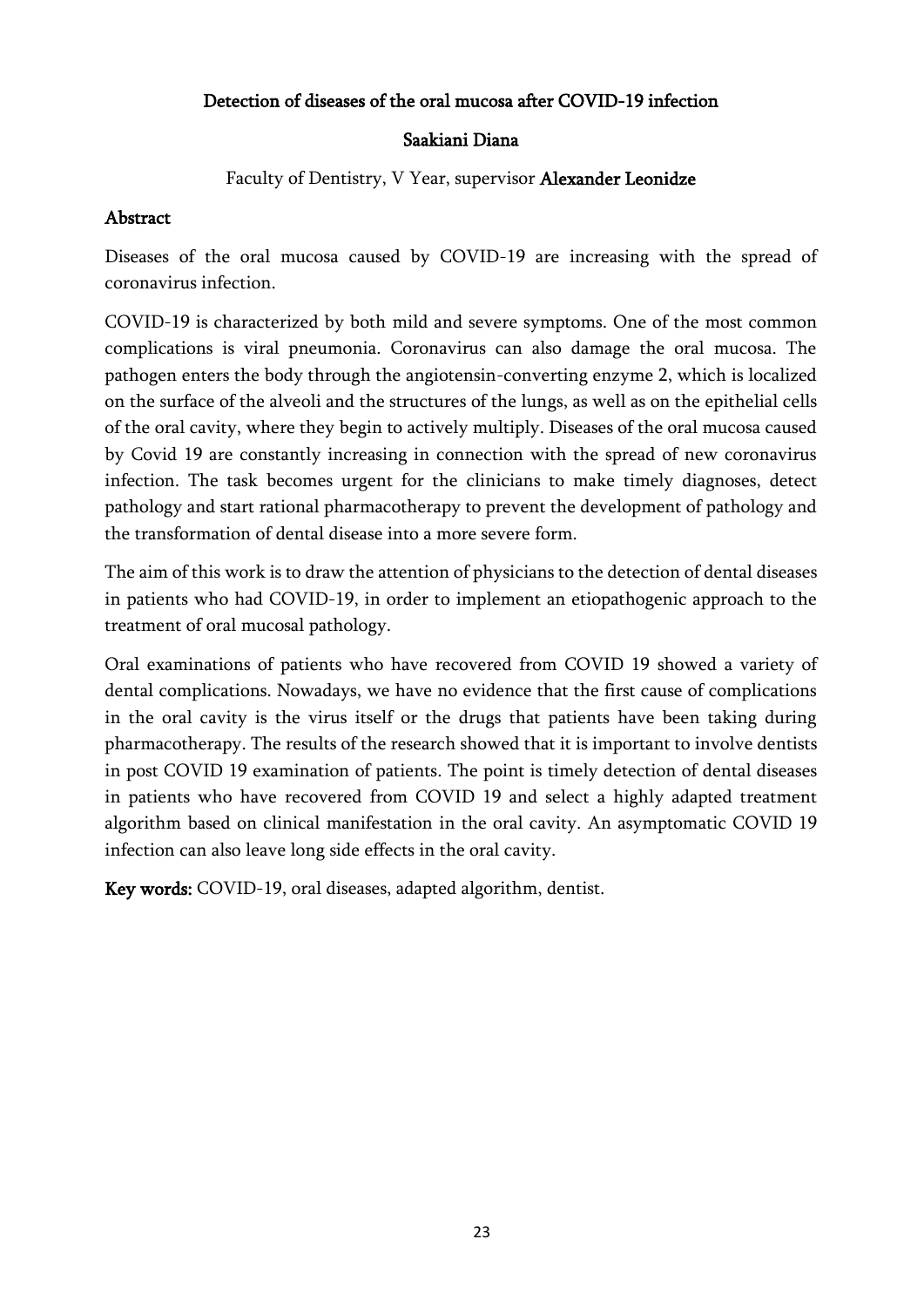### Detection of diseases of the oral mucosa after COVID-19 infection

### Saakiani Diana

Faculty of Dentistry, V Year, supervisor Alexander Leonidze

### Abstract

Diseases of the oral mucosa caused by COVID-19 are increasing with the spread of coronavirus infection.

COVID-19 is characterized by both mild and severe symptoms. One of the most common complications is viral pneumonia. Coronavirus can also damage the oral mucosa. The pathogen enters the body through the angiotensin-converting enzyme 2, which is localized on the surface of the alveoli and the structures of the lungs, as well as on the epithelial cells of the oral cavity, where they begin to actively multiply. Diseases of the oral mucosa caused by Covid 19 are constantly increasing in connection with the spread of new coronavirus infection. The task becomes urgent for the clinicians to make timely diagnoses, detect pathology and start rational pharmacotherapy to prevent the development of pathology and the transformation of dental disease into a more severe form.

The aim of this work is to draw the attention of physicians to the detection of dental diseases in patients who had COVID-19, in order to implement an etiopathogenic approach to the treatment of oral mucosal pathology.

Oral examinations of patients who have recovered from COVID 19 showed a variety of dental complications. Nowadays, we have no evidence that the first cause of complications in the oral cavity is the virus itself or the drugs that patients have been taking during pharmacotherapy. The results of the research showed that it is important to involve dentists in post COVID 19 examination of patients. The point is timely detection of dental diseases in patients who have recovered from COVID 19 and select a highly adapted treatment algorithm based on clinical manifestation in the oral cavity. An asymptomatic COVID 19 infection can also leave long side effects in the oral cavity.

Key words: COVID-19, oral diseases, adapted algorithm, dentist.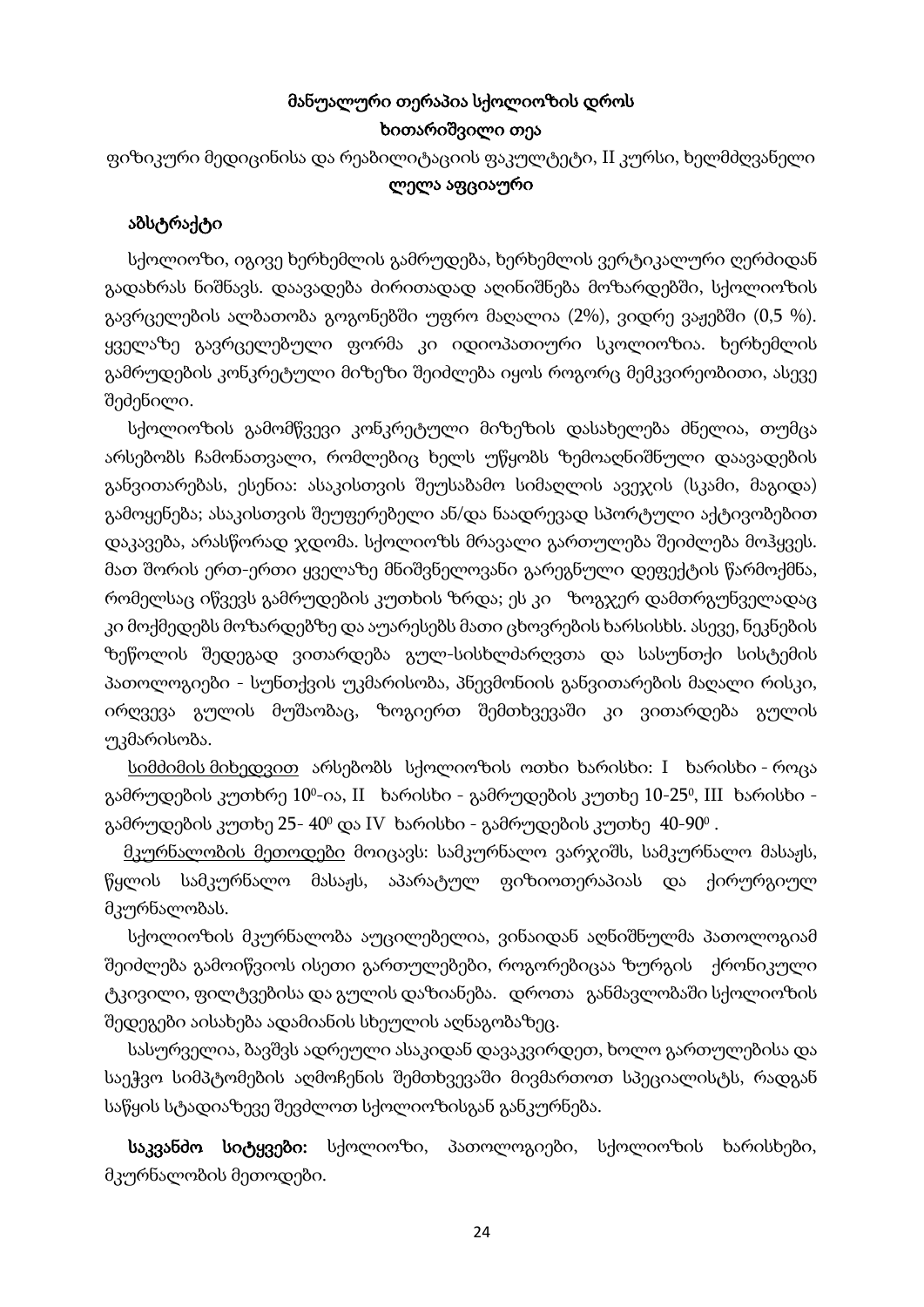# მანუალური თერაპია სქოლიოზის დროს ხითარიშვილი თეა

ფიზიკური მედიცინისა და რეაბილიტაციის ფაკულტეტი, II კურსი, ხელმძღვანელი ლელა აფციაური

### აბსტრაქტი

 სქოლიოზი, იგივე ხერხემლის გამრუდება, ხერხემლის ვერტიკალური ღერძიდან გადახრას ნიშნავს. დაავადება ძირითადად აღინიშნება მოზარდებში, სქოლიოზის გავრცელების ალბათობა გოგონებში უფრო მაღალია (2%), ვიდრე ვაჟებში (0,5 %). ყველაზე გავრცელებული ფორმა კი იდიოპათიური სკოლიოზია. ხერხემლის გამრუდების კონკრეტული მიზეზი შეიძლება იყოს როგორც მემკვირეობითი, ასევე შეძენილი.

 სქოლიოზის გამომწვევი კონკრეტული მიზეზის დასახელება ძნელია, თუმცა არსებობს ჩამონათვალი, რომლებიც ხელს უწყობს ზემოაღნიშნული დაავადების განვითარებას, ესენია: ასაკისთვის შეუსაბამო სიმაღლის ავეჯის (სკამი, მაგიდა) გამოყენება; ასაკისთვის შეუფერებელი ან/და ნაადრევად სპორტული აქტივობებით დაკავება, არასწორად ჯდომა. სქოლიოზს მრავალი გართულება შეიძლება მოჰყვეს. მათ შორის ერთ-ერთი ყველაზე მნიშვნელოვანი გარეგნული დეფექტის წარმოქმნა, რომელსაც იწვევს გამრუდების კუთხის ზრდა; ეს კი ზოგჯერ დამთრგუნველადაც კი მოქმედებს მოზარდებზე და აუარესებს მათი ცხოვრების ხარსისხს. ასევე, ნეკნების ზეწოლის შედეგად ვითარდება გულ-სისხლძარღვთა და სასუნთქი სისტემის პათოლოგიები - სუნთქვის უკმარისობა, პნევმონიის განვითარების მაღალი რისკი, ირღვევა გულის მუშაობაც, ზოგიერთ შემთხვევაში კი ვითარდება გულის უკმარისობა.

 სიმძიმის მიხედვით არსებობს სქოლიოზის ოთხი ხარისხი: I ხარისხი - როცა გამრუდების კუთხრე 10º-ია, II ხარისხი - გამრუდების კუთხე 10-25º, III ხარისხი გამრუდების კუთხე 25- 40º და IV ხარისხი - გამრუდების კუთხე 40-90º .

 მკურნალობის მეთოდები მოიცავს: სამკურნალო ვარჯიშს, სამკურნალო მასაჟს, წყლის სამკურნალო მასაჟს, აპარატულ ფიზიოთერაპიას და ქირურგიულ მკურნალობას.

 სქოლიოზის მკურნალობა აუცილებელია, ვინაიდან აღნიშნულმა პათოლოგიამ შეიძლება გამოიწვიოს ისეთი გართულებები, როგორებიცაა ზურგის ქრონიკული ტკივილი, ფილტვებისა და გულის დაზიანება. დროთა განმავლობაში სქოლიოზის შედეგები აისახება ადამიანის სხეულის აღნაგობაზეც.

 სასურველია, ბავშვს ადრეული ასაკიდან დავაკვირდეთ, ხოლო გართულებისა და საეჭვო სიმპტომების აღმოჩენის შემთხვევაში მივმართოთ სპეციალისტს, რადგან საწყის სტადიაზევე შევძლოთ სქოლიოზისგან განკურნება.

 საკვანძო სიტყვები: სქოლიოზი, პათოლოგიები, სქოლიოზის ხარისხები, მკურნალობის მეთოდები.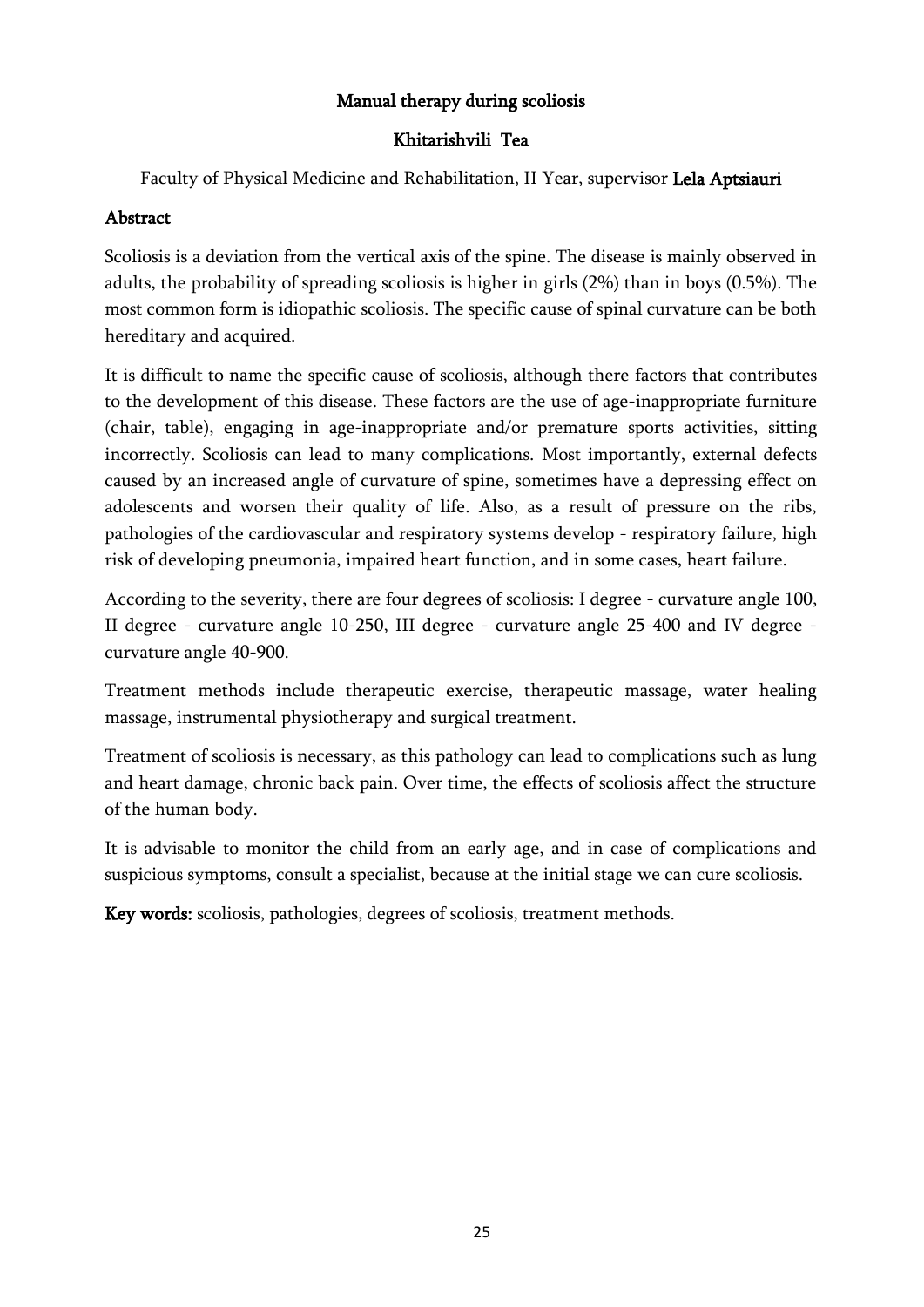### Manual therapy during scoliosis

### Khitarishvili Tea

Faculty of Physical Medicine and Rehabilitation, II Year, supervisor Lela Aptsiauri

### Abstract

Scoliosis is a deviation from the vertical axis of the spine. The disease is mainly observed in adults, the probability of spreading scoliosis is higher in girls (2%) than in boys (0.5%). The most common form is idiopathic scoliosis. The specific cause of spinal curvature can be both hereditary and acquired.

It is difficult to name the specific cause of scoliosis, although there factors that contributes to the development of this disease. These factors are the use of age-inappropriate furniture (chair, table), engaging in age-inappropriate and/or premature sports activities, sitting incorrectly. Scoliosis can lead to many complications. Most importantly, external defects caused by an increased angle of curvature of spine, sometimes have a depressing effect on adolescents and worsen their quality of life. Also, as a result of pressure on the ribs, pathologies of the cardiovascular and respiratory systems develop - respiratory failure, high risk of developing pneumonia, impaired heart function, and in some cases, heart failure.

According to the severity, there are four degrees of scoliosis: I degree - curvature angle 100, II degree - curvature angle 10-250, III degree - curvature angle 25-400 and IV degree curvature angle 40-900.

Treatment methods include therapeutic exercise, therapeutic massage, water healing massage, instrumental physiotherapy and surgical treatment.

Treatment of scoliosis is necessary, as this pathology can lead to complications such as lung and heart damage, chronic back pain. Over time, the effects of scoliosis affect the structure of the human body.

It is advisable to monitor the child from an early age, and in case of complications and suspicious symptoms, consult a specialist, because at the initial stage we can cure scoliosis.

Key words: scoliosis, pathologies, degrees of scoliosis, treatment methods.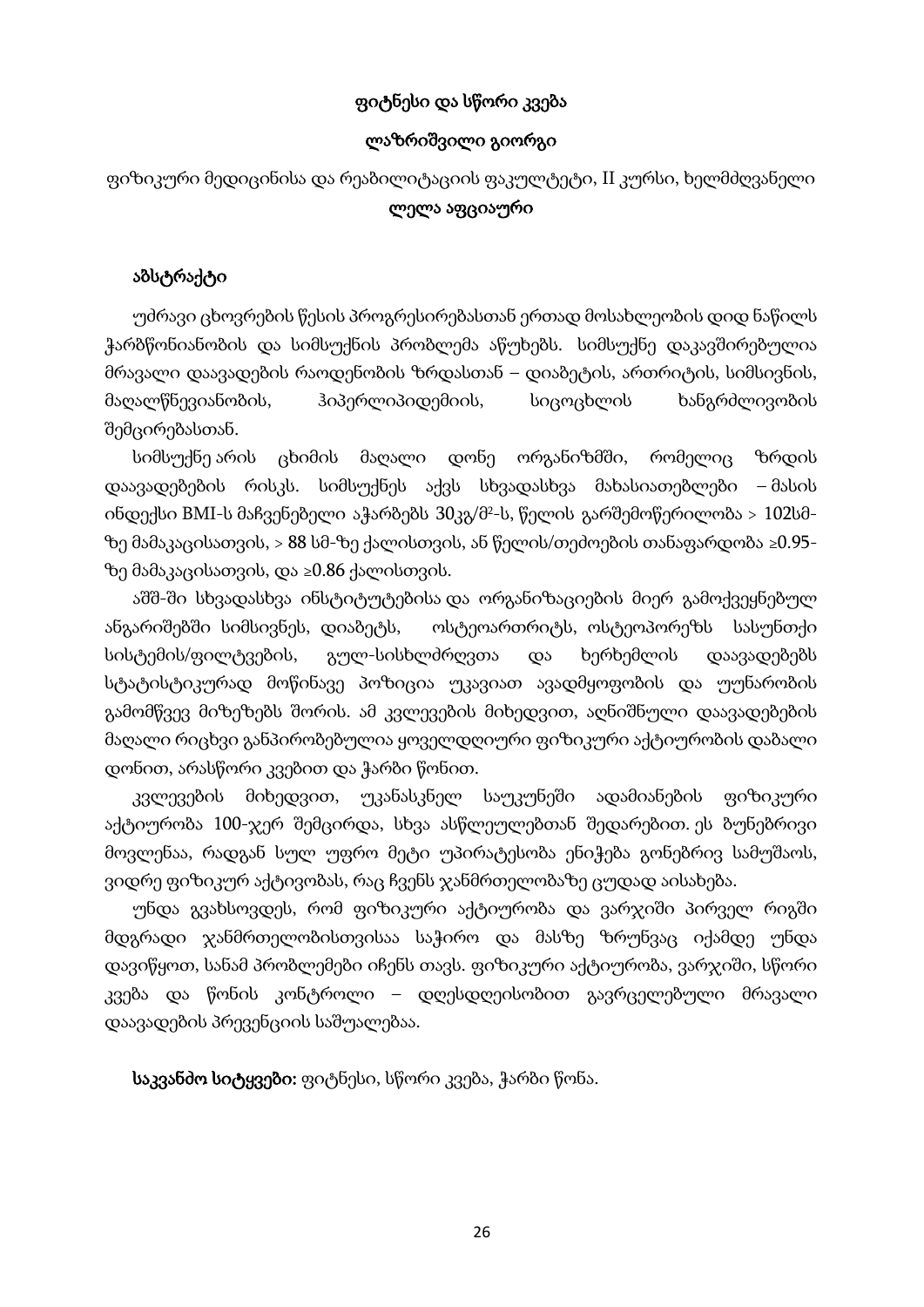### ფიტნესი და სწორი კვება

#### ლაზრიშვილი გიორგი

ფიზიკური მედიცინისა და რეაბილიტაციის ფაკულტეტი, II კურსი, ხელმძღვანელი ლელა აფციაური

#### აბსტრაქტი

უძრავი ცხოვრების წესის პროგრესირებასთან ერთად მოსახლეობის დიდ ნაწილს ჭარბწონიანობის და სიმსუქნის პრობლემა აწუხებს. სიმსუქნე დაკავშირებულია მრავალი დაავადების რაოდენობის ზრდასთან – დიაბეტის, ართრიტის, სიმსივნის, მაღალწნევიანობის, ჰიპერლიპიდემიის, სიცოცხლის ხანგრძლივობის შემცირებასთან.

სიმსუქნე არის ცხიმის მაღალი დონე ორგანიზმში, რომელიც ზრდის დაავადებების რისკს. სიმსუქნეს აქვს სხვადასხვა მახასიათებლები – მასის ინდექსი BMI-ს მაჩვენებელი აჭარბებს 30კგ/მ<sup>2</sup>-ს, წელის გარშემოწერილობა > 102სმზე მამაკაცისათვის, > 88 სმ-ზე ქალისთვის, ან წელის/თეძოების თანაფარდობა ≥0.95 ზე მამაკაცისათვის, და ≥0.86 ქალისთვის.

აშშ-ში სხვადასხვა ინსტიტუტებისა და ორგანიზაციების მიერ გამოქვეყნებულ ანგარიშებში სიმსივნეს, დიაბეტს, ოსტეოართრიტს, ოსტეოპორეზს სასუნთქი სისტემის/ფილტვების, გულ-სისხლძრღვთა და ხერხემლის დაავადებებს სტატისტიკურად მოწინავე პოზიცია უკავიათ ავადმყოფობის და უუნარობის გამომწვევ მიზეზებს შორის. ამ კვლევების მიხედვით, აღნიშნული დაავადებების მაღალი რიცხვი განპირობებულია ყოველდღიური ფიზიკური აქტიურობის დაბალი დონით, არასწორი კვებით და ჭარბი წონით.

კვლევების მიხედვით, უკანასკნელ საუკუნეში ადამიანების ფიზიკური აქტიურობა 100-ჯერ შემცირდა, სხვა ასწლეულებთან შედარებით. ეს ბუნებრივი მოვლენაა, რადგან სულ უფრო მეტი უპირატესობა ენიჭება გონებრივ სამუშაოს, ვიდრე ფიზიკურ აქტივობას, რაც ჩვენს ჯანმრთელობაზე ცუდად აისახება.

უნდა გვახსოვდეს, რომ ფიზიკური აქტიურობა და ვარჯიში პირველ რიგში მდგრადი ჯანმრთელობისთვისაა საჭირო და მასზე ზრუნვაც იქამდე უნდა დავიწყოთ, სანამ პრობლემები იჩენს თავს. ფიზიკური აქტიურობა, ვარჯიში, სწორი კვება და წონის კონტროლი – დღესდღეისობით გავრცელებული მრავალი დაავადების პრევენციის საშუალებაა.

საკვანძო სიტყვები: ფიტნესი, სწორი კვება, ჭარბი წონა.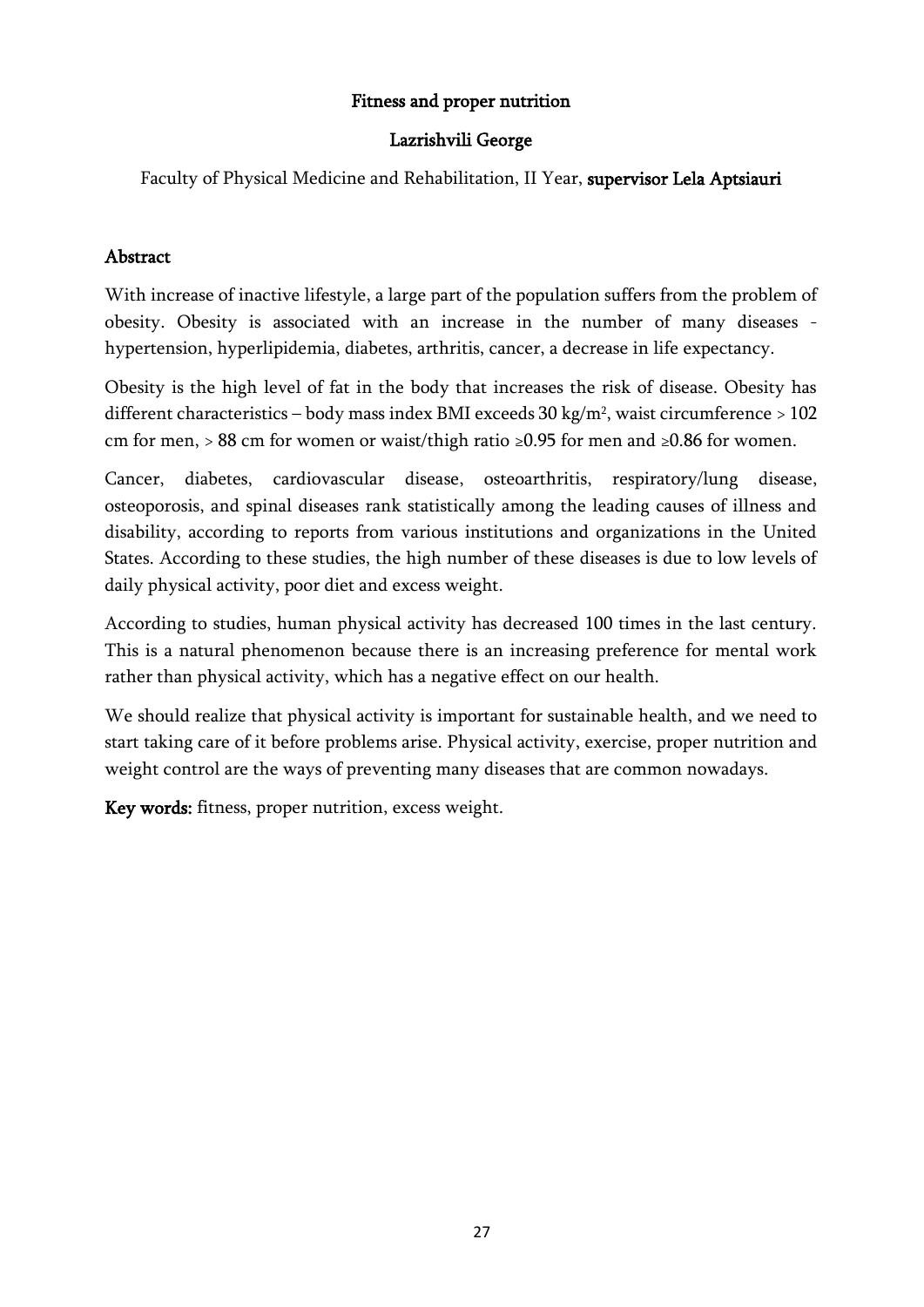### Fitness and proper nutrition

### Lazrishvili George

Faculty of Physical Medicine and Rehabilitation, II Year, supervisor Lela Aptsiauri

### Abstract

With increase of inactive lifestyle, a large part of the population suffers from the problem of obesity. Obesity is associated with an increase in the number of many diseases hypertension, hyperlipidemia, diabetes, arthritis, cancer, a decrease in life expectancy.

Obesity is the high level of fat in the body that increases the risk of disease. Obesity has different characteristics – body mass index BMI exceeds 30 kg/m², waist circumference > 102 cm for men, > 88 cm for women or waist/thigh ratio ≥0.95 for men and ≥0.86 for women.

Cancer, diabetes, cardiovascular disease, osteoarthritis, respiratory/lung disease, osteoporosis, and spinal diseases rank statistically among the leading causes of illness and disability, according to reports from various institutions and organizations in the United States. According to these studies, the high number of these diseases is due to low levels of daily physical activity, poor diet and excess weight.

According to studies, human physical activity has decreased 100 times in the last century. This is a natural phenomenon because there is an increasing preference for mental work rather than physical activity, which has a negative effect on our health.

We should realize that physical activity is important for sustainable health, and we need to start taking care of it before problems arise. Physical activity, exercise, proper nutrition and weight control are the ways of preventing many diseases that are common nowadays.

Key words: fitness, proper nutrition, excess weight.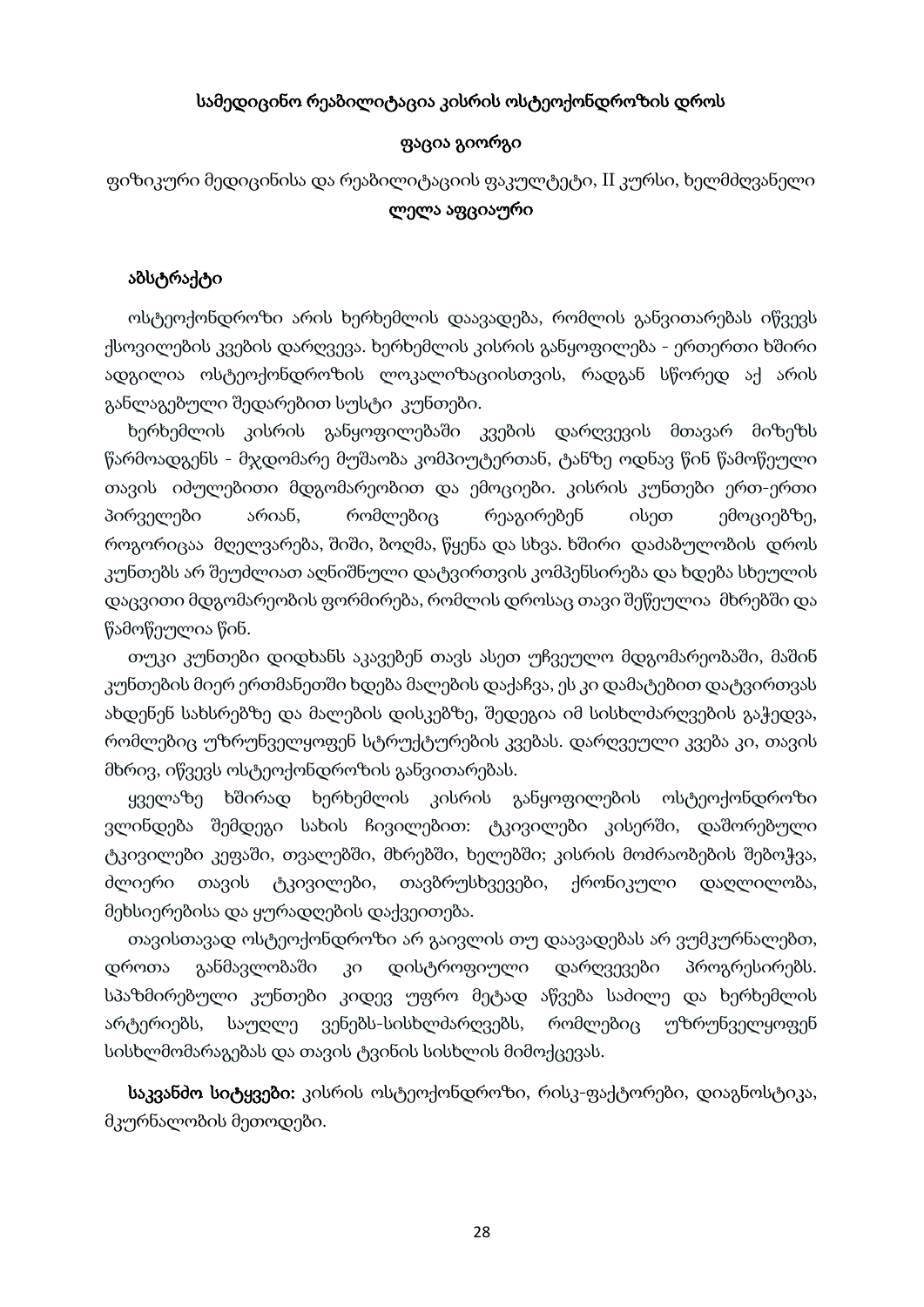#### სამედიცინო რეაბილიტაცია კისრის ოსტეოქონდროზის დროს

#### ფაცია გიორგი

ფიზიკური მედიცინისა და რეაბილიტაციის ფაკულტეტი, II კურსი, ხელმძღვანელი ლელა აფციაური

#### აბსტრაქტი

 ოსტეოქონდროზი არის ხერხემლის დაავადება, რომლის განვითარებას იწვევს ქსოვილების კვების დარღვევა. ხერხემლის კისრის განყოფილება - ერთერთი ხშირი ადგილია ოსტეოქონდროზის ლოკალიზაციისთვის, რადგან სწორედ აქ არის განლაგებული შედარებით სუსტი კუნთები.

 ხერხემლის კისრის განყოფილებაში კვების დარღვევის მთავარ მიზეზს წარმოადგენს - მჯდომარე მუშაობა კომპიუტერთან, ტანზე ოდნავ წინ წამოწეული თავის იძულებითი მდგომარეობით და ემოციები. კისრის კუნთები ერთ-ერთი პირველები არიან, რომლებიც რეაგირებენ ისეთ ემოციებზე, როგორიცაა მღელვარება, შიში, ბოღმა, წყენა და სხვა. ხშირი დაძაბულობის დროს კუნთებს არ შეუძლიათ აღნიშნული დატვირთვის კომპენსირება და ხდება სხეულის დაცვითი მდგომარეობის ფორმირება, რომლის დროსაც თავი შეწეულია მხრებში და წამოწეულია წინ.

 თუკი კუნთები დიდხანს აკავებენ თავს ასეთ უჩვეულო მდგომარეობაში, მაშინ კუნთების მიერ ერთმანეთში ხდება მალების დაქაჩვა, ეს კი დამატებით დატვირთვას ახდენენ სახსრებზე და მალების დისკებზე, შედეგია იმ სისხლძარღვების გაჭედვა, რომლებიც უზრუნველყოფენ სტრუქტურების კვებას. დარღვეული კვება კი, თავის მხრივ, იწვევს ოსტეოქონდროზის განვითარებას.

 ყველაზე ხშირად ხერხემლის კისრის განყოფილების ოსტეოქონდროზი ვლინდება შემდეგი სახის ჩივილებით: ტკივილები კისერში, დაშორებული ტკივილები კეფაში, თვალებში, მხრებში, ხელებში; კისრის მოძრაობების შებოჭვა, ძლიერი თავის ტკივილები, თავბრუსხვევები, ქრონიკული დაღლილობა, მეხსიერებისა და ყურადღების დაქვეითება.

 თავისთავად ოსტეოქონდროზი არ გაივლის თუ დაავადებას არ ვუმკურნალებთ, დროთა განმავლობაში კი დისტროფიული დარღვევები პროგრესირებს. სპაზმირებული კუნთები კიდევ უფრო მეტად აწვება საძილე და ხერხემლის არტერიებს, საუღლე ვენებს-სისხლძარღვებს, რომლებიც უზრუნველყოფენ სისხლმომარაგებას და თავის ტვინის სისხლის მიმოქცევას.

 საკვანძო სიტყვები: კისრის ოსტეოქონდროზი, რისკ-ფაქტორები, დიაგნოსტიკა, მკურნალობის მეთოდები.

28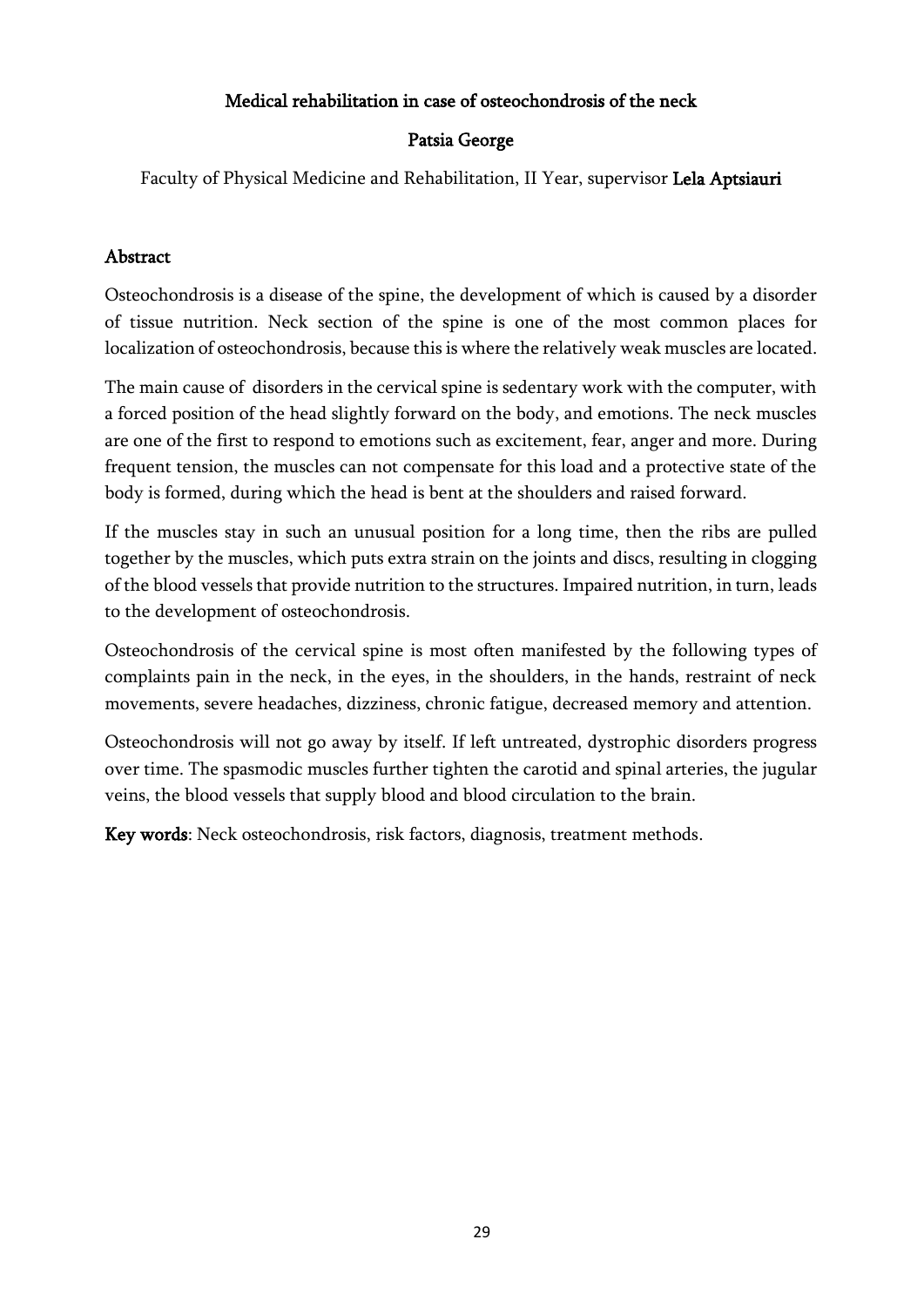### Medical rehabilitation in case of osteochondrosis of the neck

### Patsia George

Faculty of Physical Medicine and Rehabilitation, II Year, supervisor Lela Aptsiauri

### Abstract

Osteochondrosis is a disease of the spine, the development of which is caused by a disorder of tissue nutrition. Neck section of the spine is one of the most common places for localization of osteochondrosis, because this is where the relatively weak muscles are located.

The main cause of disorders in the cervical spine is sedentary work with the computer, with a forced position of the head slightly forward on the body, and emotions. The neck muscles are one of the first to respond to emotions such as excitement, fear, anger and more. During frequent tension, the muscles can not compensate for this load and a protective state of the body is formed, during which the head is bent at the shoulders and raised forward.

If the muscles stay in such an unusual position for a long time, then the ribs are pulled together by the muscles, which puts extra strain on the joints and discs, resulting in clogging of the blood vessels that provide nutrition to the structures. Impaired nutrition, in turn, leads to the development of osteochondrosis.

Osteochondrosis of the cervical spine is most often manifested by the following types of complaints pain in the neck, in the eyes, in the shoulders, in the hands, restraint of neck movements, severe headaches, dizziness, chronic fatigue, decreased memory and attention.

Osteochondrosis will not go away by itself. If left untreated, dystrophic disorders progress over time. The spasmodic muscles further tighten the carotid and spinal arteries, the jugular veins, the blood vessels that supply blood and blood circulation to the brain.

Key words: Neck osteochondrosis, risk factors, diagnosis, treatment methods.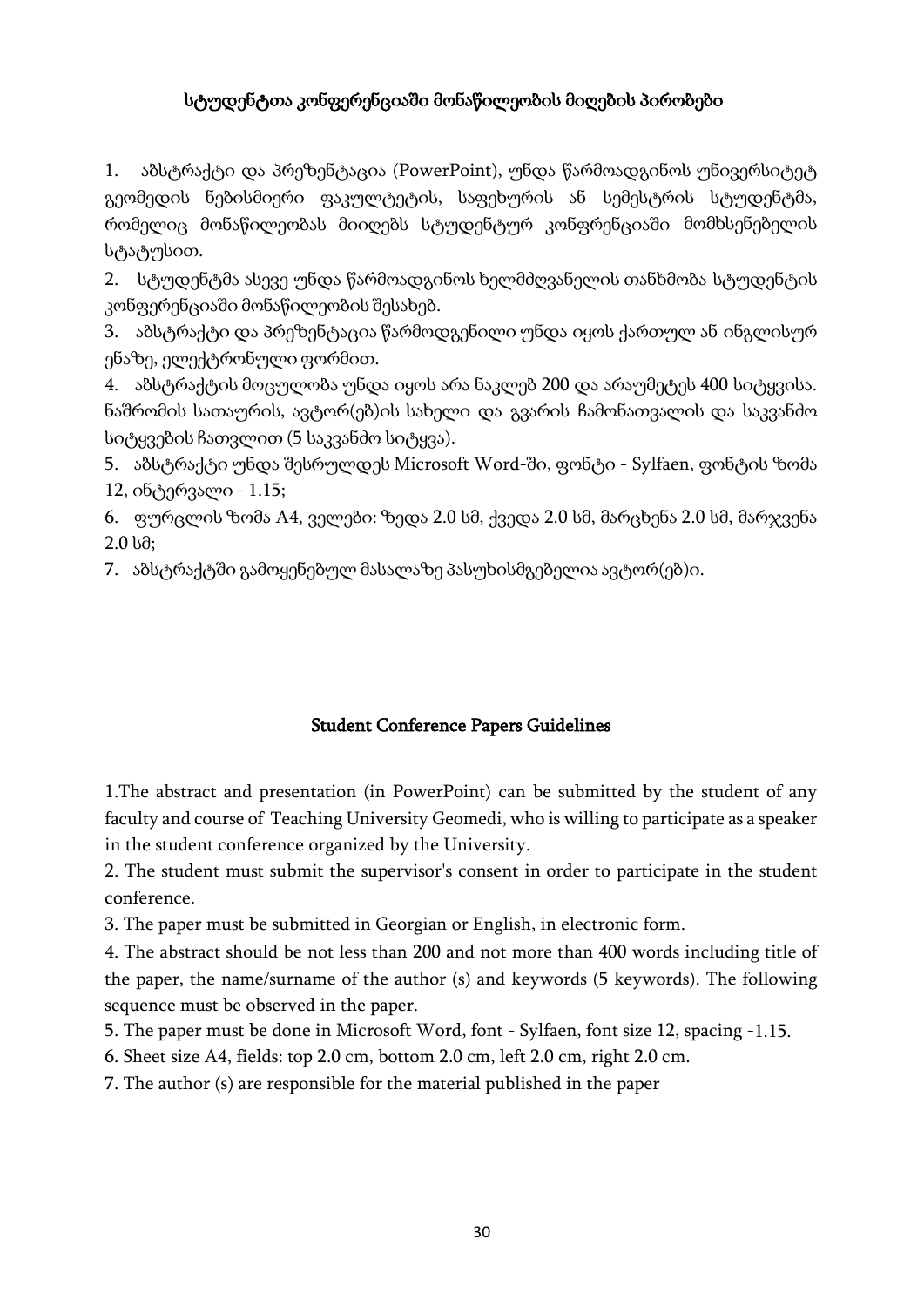# სტუდენტთა კონფერენციაში მონაწილეობის მიღების პირობები

1. აბსტრაქტი და პრეზენტაცია (PowerPoint), უნდა წარმოადგინოს უნივერსიტეტ გეომედის ნებისმიერი ფაკულტეტის, საფეხურის ან სემესტრის სტუდენტმა, რომელიც მონაწილეობას მიიღებს სტუდენტურ კონფრენციაში მომხსენებელის სტატუსით.

2. სტუდენტმა ასევე უნდა წარმოადგინოს ხელმძღვანელის თანხმობა სტუდენტის კონფერენციაში მონაწილეობის შესახებ.

3. აბსტრაქტი და პრეზენტაცია წარმოდგენილი უნდა იყოს ქართულ ან ინგლისურ ენაზე, ელექტრონულიფორმით.

4. აბსტრაქტის მოცულობა უნდა იყოს არა ნაკლებ 200 და არაუმეტეს 400 სიტყვისა. ნაშრომის სათაურის, ავტორ(ებ)ის სახელი და გვარის ჩამონათვალის და საკვანძო სიტყვების ჩათვლით (5 საკვანძო სიტყვა).

5. აბსტრაქტი უნდა შესრულდეს Microsoft Word-ში, ფონტი - Sylfaen, ფონტის ზომა  $12, o6$ ტერვალი -  $1.15$ ;

6. ფურცლის ზომა A4, ველები: ზედა 2.0 სმ, ქვედა 2.0 სმ, მარცხენა 2.0 სმ, მარჯვენა 2.0 სმ;

7. აბსტრაქტში გამოყენებულ მასალაზე პასუხისმგებელია ავტორ(ებ)ი.

# Student Conference Papers Guidelines

1.The abstract and presentation (in PowerPoint) can be submitted by the student of any faculty and course of Teaching University Geomedi, who is willing to participate as a speaker in the student conference organized by the University.

2. The student must submit the supervisor's consent in order to participate in the student conference.

3. The paper must be submitted in Georgian or English, in electronic form.

4. The abstract should be not less than 200 and not more than 400 words including title of the paper, the name/surname of the author (s) and keywords (5 keywords). The following sequence must be observed in the paper.

5. The paper must be done in Microsoft Word, font - Sylfaen, font size 12, spacing -1.15.

6. Sheet size A4, fields: top 2.0 cm, bottom 2.0 cm, left 2.0 cm, right 2.0 cm.

7. The author (s) are responsible for the material published in the paper